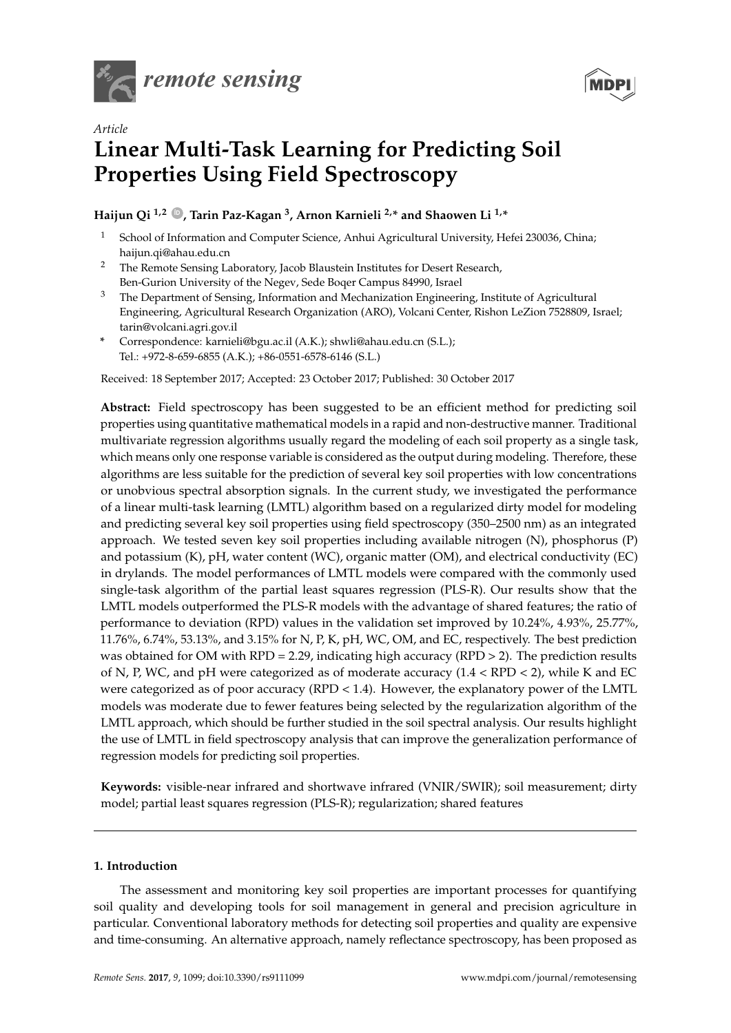



# *Article* **Linear Multi-Task Learning for Predicting Soil Properties Using Field Spectroscopy**

**Haijun Qi 1,2 ID , Tarin Paz-Kagan <sup>3</sup> , Arnon Karnieli 2,\* and Shaowen Li 1,\***

- <sup>1</sup> School of Information and Computer Science, Anhui Agricultural University, Hefei 230036, China; haijun.qi@ahau.edu.cn
- <sup>2</sup> The Remote Sensing Laboratory, Jacob Blaustein Institutes for Desert Research, Ben-Gurion University of the Negev, Sede Boqer Campus 84990, Israel
- <sup>3</sup> The Department of Sensing, Information and Mechanization Engineering, Institute of Agricultural Engineering, Agricultural Research Organization (ARO), Volcani Center, Rishon LeZion 7528809, Israel; tarin@volcani.agri.gov.il
- **\*** Correspondence: karnieli@bgu.ac.il (A.K.); shwli@ahau.edu.cn (S.L.); Tel.: +972-8-659-6855 (A.K.); +86-0551-6578-6146 (S.L.)

Received: 18 September 2017; Accepted: 23 October 2017; Published: 30 October 2017

**Abstract:** Field spectroscopy has been suggested to be an efficient method for predicting soil properties using quantitative mathematical models in a rapid and non-destructive manner. Traditional multivariate regression algorithms usually regard the modeling of each soil property as a single task, which means only one response variable is considered as the output during modeling. Therefore, these algorithms are less suitable for the prediction of several key soil properties with low concentrations or unobvious spectral absorption signals. In the current study, we investigated the performance of a linear multi-task learning (LMTL) algorithm based on a regularized dirty model for modeling and predicting several key soil properties using field spectroscopy (350–2500 nm) as an integrated approach. We tested seven key soil properties including available nitrogen (N), phosphorus (P) and potassium (K), pH, water content (WC), organic matter (OM), and electrical conductivity (EC) in drylands. The model performances of LMTL models were compared with the commonly used single-task algorithm of the partial least squares regression (PLS-R). Our results show that the LMTL models outperformed the PLS-R models with the advantage of shared features; the ratio of performance to deviation (RPD) values in the validation set improved by 10.24%, 4.93%, 25.77%, 11.76%, 6.74%, 53.13%, and 3.15% for N, P, K, pH, WC, OM, and EC, respectively. The best prediction was obtained for OM with RPD = 2.29, indicating high accuracy (RPD > 2). The prediction results of N, P, WC, and pH were categorized as of moderate accuracy  $(1.4 < RPD < 2)$ , while K and EC were categorized as of poor accuracy (RPD < 1.4). However, the explanatory power of the LMTL models was moderate due to fewer features being selected by the regularization algorithm of the LMTL approach, which should be further studied in the soil spectral analysis. Our results highlight the use of LMTL in field spectroscopy analysis that can improve the generalization performance of regression models for predicting soil properties.

**Keywords:** visible-near infrared and shortwave infrared (VNIR/SWIR); soil measurement; dirty model; partial least squares regression (PLS-R); regularization; shared features

# **1. Introduction**

The assessment and monitoring key soil properties are important processes for quantifying soil quality and developing tools for soil management in general and precision agriculture in particular. Conventional laboratory methods for detecting soil properties and quality are expensive and time-consuming. An alternative approach, namely reflectance spectroscopy, has been proposed as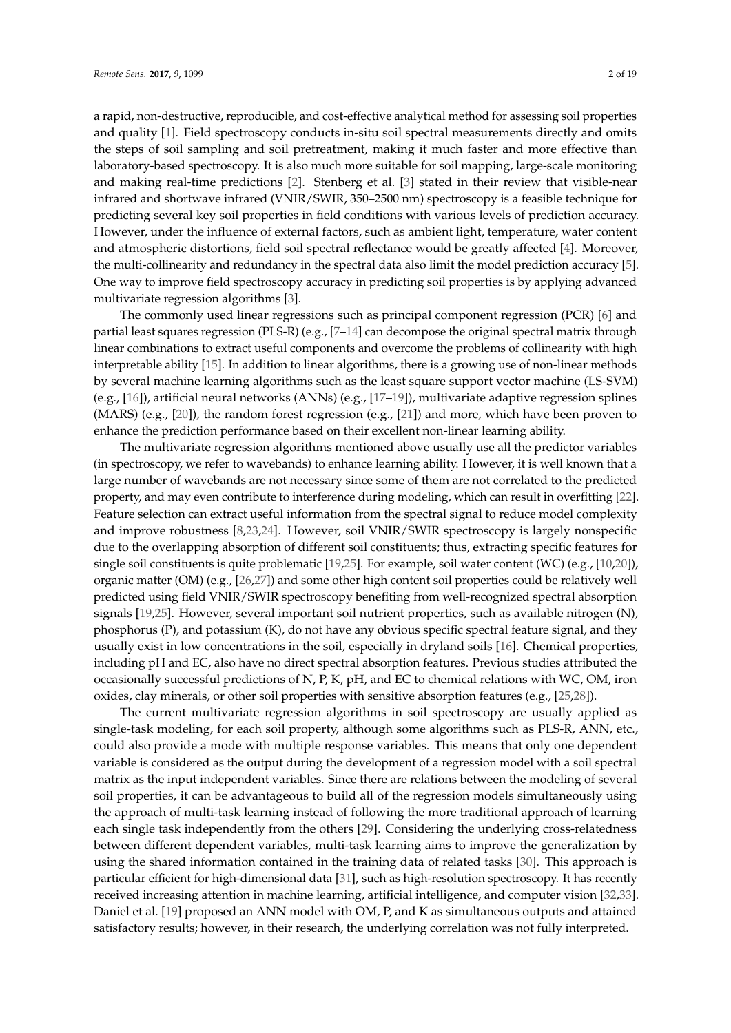a rapid, non-destructive, reproducible, and cost-effective analytical method for assessing soil properties and quality [1]. Field spectroscopy conducts in-situ soil spectral measurements directly and omits the steps of soil sampling and soil pretreatment, making it much faster and more effective than laboratory-based spectroscopy. It is also much more suitable for soil mapping, large-scale monitoring and making real-time predictions [2]. Stenberg et al. [3] stated in their review that visible-near infrared and shortwave infrared (VNIR/SWIR, 350–2500 nm) spectroscopy is a feasible technique for predicting several key soil properties in field conditions with various levels of prediction accuracy. However, under the influence of external factors, such as ambient light, temperature, water content and atmospheric distortions, field soil spectral reflectance would be greatly affected [4]. Moreover, the multi-collinearity and redundancy in the spectral data also limit the model prediction accuracy [5]. One way to improve field spectroscopy accuracy in predicting soil properties is by applying advanced multivariate regression algorithms [3].

The commonly used linear regressions such as principal component regression (PCR) [6] and partial least squares regression (PLS-R) (e.g., [7–14] can decompose the original spectral matrix through linear combinations to extract useful components and overcome the problems of collinearity with high interpretable ability [15]. In addition to linear algorithms, there is a growing use of non-linear methods by several machine learning algorithms such as the least square support vector machine (LS-SVM) (e.g., [16]), artificial neural networks (ANNs) (e.g., [17–19]), multivariate adaptive regression splines (MARS) (e.g., [20]), the random forest regression (e.g., [21]) and more, which have been proven to enhance the prediction performance based on their excellent non-linear learning ability.

The multivariate regression algorithms mentioned above usually use all the predictor variables (in spectroscopy, we refer to wavebands) to enhance learning ability. However, it is well known that a large number of wavebands are not necessary since some of them are not correlated to the predicted property, and may even contribute to interference during modeling, which can result in overfitting [22]. Feature selection can extract useful information from the spectral signal to reduce model complexity and improve robustness [8,23,24]. However, soil VNIR/SWIR spectroscopy is largely nonspecific due to the overlapping absorption of different soil constituents; thus, extracting specific features for single soil constituents is quite problematic [19,25]. For example, soil water content (WC) (e.g., [10,20]), organic matter (OM) (e.g., [26,27]) and some other high content soil properties could be relatively well predicted using field VNIR/SWIR spectroscopy benefiting from well-recognized spectral absorption signals [19,25]. However, several important soil nutrient properties, such as available nitrogen (N), phosphorus (P), and potassium (K), do not have any obvious specific spectral feature signal, and they usually exist in low concentrations in the soil, especially in dryland soils [16]. Chemical properties, including pH and EC, also have no direct spectral absorption features. Previous studies attributed the occasionally successful predictions of N, P, K, pH, and EC to chemical relations with WC, OM, iron oxides, clay minerals, or other soil properties with sensitive absorption features (e.g., [25,28]).

The current multivariate regression algorithms in soil spectroscopy are usually applied as single-task modeling, for each soil property, although some algorithms such as PLS-R, ANN, etc., could also provide a mode with multiple response variables. This means that only one dependent variable is considered as the output during the development of a regression model with a soil spectral matrix as the input independent variables. Since there are relations between the modeling of several soil properties, it can be advantageous to build all of the regression models simultaneously using the approach of multi-task learning instead of following the more traditional approach of learning each single task independently from the others [29]. Considering the underlying cross-relatedness between different dependent variables, multi-task learning aims to improve the generalization by using the shared information contained in the training data of related tasks [30]. This approach is particular efficient for high-dimensional data [31], such as high-resolution spectroscopy. It has recently received increasing attention in machine learning, artificial intelligence, and computer vision [32,33]. Daniel et al. [19] proposed an ANN model with OM, P, and K as simultaneous outputs and attained satisfactory results; however, in their research, the underlying correlation was not fully interpreted.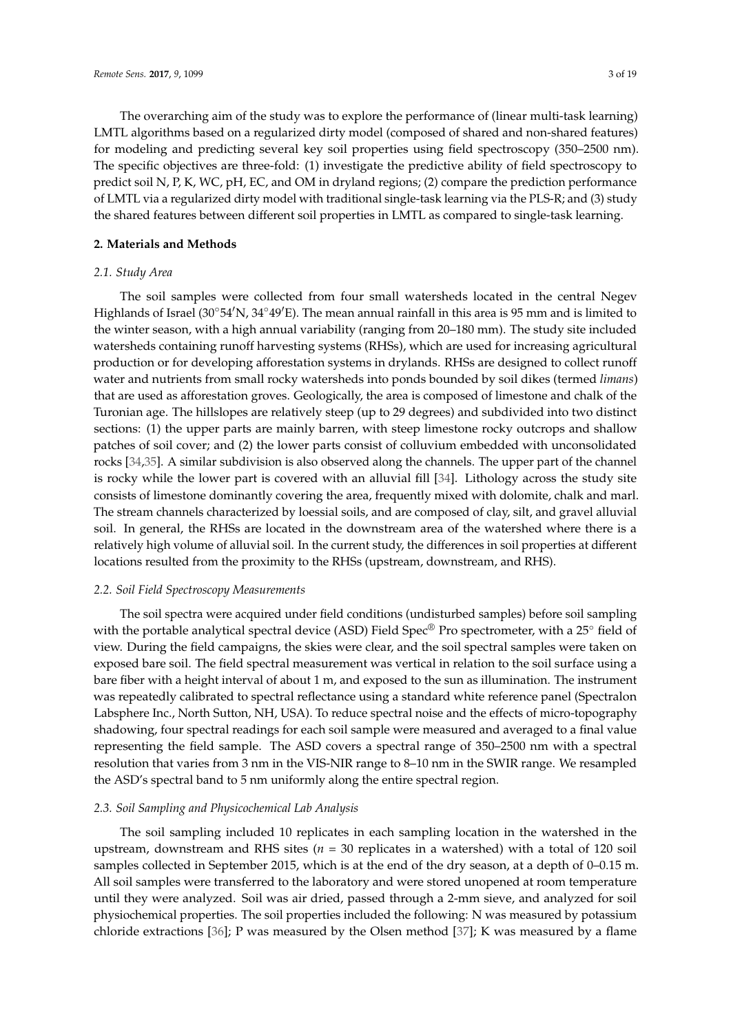The overarching aim of the study was to explore the performance of (linear multi-task learning) LMTL algorithms based on a regularized dirty model (composed of shared and non-shared features) for modeling and predicting several key soil properties using field spectroscopy (350–2500 nm). The specific objectives are three-fold: (1) investigate the predictive ability of field spectroscopy to predict soil N, P, K, WC, pH, EC, and OM in dryland regions; (2) compare the prediction performance of LMTL via a regularized dirty model with traditional single-task learning via the PLS-R; and (3) study the shared features between different soil properties in LMTL as compared to single-task learning.

## **2. Materials and Methods**

# *2.1. Study Area*

The soil samples were collected from four small watersheds located in the central Negev Highlands of Israel (30◦54′N, 34◦49′E). The mean annual rainfall in this area is 95 mm and is limited to the winter season, with a high annual variability (ranging from 20–180 mm). The study site included watersheds containing runoff harvesting systems (RHSs), which are used for increasing agricultural production or for developing afforestation systems in drylands. RHSs are designed to collect runoff water and nutrients from small rocky watersheds into ponds bounded by soil dikes (termed *limans*) that are used as afforestation groves. Geologically, the area is composed of limestone and chalk of the Turonian age. The hillslopes are relatively steep (up to 29 degrees) and subdivided into two distinct sections: (1) the upper parts are mainly barren, with steep limestone rocky outcrops and shallow patches of soil cover; and (2) the lower parts consist of colluvium embedded with unconsolidated rocks [34,35]. A similar subdivision is also observed along the channels. The upper part of the channel is rocky while the lower part is covered with an alluvial fill [34]. Lithology across the study site consists of limestone dominantly covering the area, frequently mixed with dolomite, chalk and marl. The stream channels characterized by loessial soils, and are composed of clay, silt, and gravel alluvial soil. In general, the RHSs are located in the downstream area of the watershed where there is a relatively high volume of alluvial soil. In the current study, the differences in soil properties at different locations resulted from the proximity to the RHSs (upstream, downstream, and RHS).

## *2.2. Soil Field Spectroscopy Measurements*

The soil spectra were acquired under field conditions (undisturbed samples) before soil sampling with the portable analytical spectral device (ASD) Field Spec® Pro spectrometer, with a 25° field of view. During the field campaigns, the skies were clear, and the soil spectral samples were taken on exposed bare soil. The field spectral measurement was vertical in relation to the soil surface using a bare fiber with a height interval of about 1 m, and exposed to the sun as illumination. The instrument was repeatedly calibrated to spectral reflectance using a standard white reference panel (Spectralon Labsphere Inc., North Sutton, NH, USA). To reduce spectral noise and the effects of micro-topography shadowing, four spectral readings for each soil sample were measured and averaged to a final value representing the field sample. The ASD covers a spectral range of 350–2500 nm with a spectral resolution that varies from 3 nm in the VIS-NIR range to 8–10 nm in the SWIR range. We resampled the ASD's spectral band to 5 nm uniformly along the entire spectral region.

## *2.3. Soil Sampling and Physicochemical Lab Analysis*

The soil sampling included 10 replicates in each sampling location in the watershed in the upstream, downstream and RHS sites (*n* = 30 replicates in a watershed) with a total of 120 soil samples collected in September 2015, which is at the end of the dry season, at a depth of 0–0.15 m. All soil samples were transferred to the laboratory and were stored unopened at room temperature until they were analyzed. Soil was air dried, passed through a 2-mm sieve, and analyzed for soil physiochemical properties. The soil properties included the following: N was measured by potassium chloride extractions [36]; P was measured by the Olsen method [37]; K was measured by a flame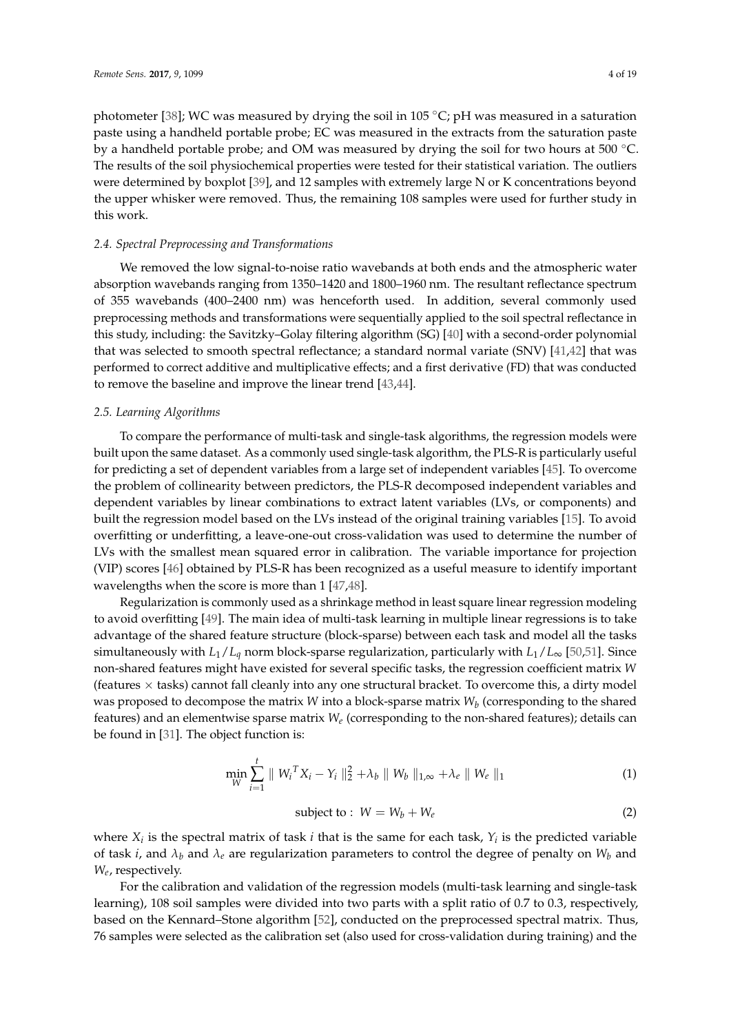photometer [38]; WC was measured by drying the soil in 105 ◦C; pH was measured in a saturation paste using a handheld portable probe; EC was measured in the extracts from the saturation paste by a handheld portable probe; and OM was measured by drying the soil for two hours at 500 ◦C. The results of the soil physiochemical properties were tested for their statistical variation. The outliers were determined by boxplot [39], and 12 samples with extremely large N or K concentrations beyond the upper whisker were removed. Thus, the remaining 108 samples were used for further study in this work.

## *2.4. Spectral Preprocessing and Transformations*

We removed the low signal-to-noise ratio wavebands at both ends and the atmospheric water absorption wavebands ranging from 1350–1420 and 1800–1960 nm. The resultant reflectance spectrum of 355 wavebands (400–2400 nm) was henceforth used. In addition, several commonly used preprocessing methods and transformations were sequentially applied to the soil spectral reflectance in this study, including: the Savitzky–Golay filtering algorithm (SG) [40] with a second-order polynomial that was selected to smooth spectral reflectance; a standard normal variate (SNV) [41,42] that was performed to correct additive and multiplicative effects; and a first derivative (FD) that was conducted to remove the baseline and improve the linear trend [43,44].

### *2.5. Learning Algorithms*

To compare the performance of multi-task and single-task algorithms, the regression models were built upon the same dataset. As a commonly used single-task algorithm, the PLS-R is particularly useful for predicting a set of dependent variables from a large set of independent variables [45]. To overcome the problem of collinearity between predictors, the PLS-R decomposed independent variables and dependent variables by linear combinations to extract latent variables (LVs, or components) and built the regression model based on the LVs instead of the original training variables [15]. To avoid overfitting or underfitting, a leave-one-out cross-validation was used to determine the number of LVs with the smallest mean squared error in calibration. The variable importance for projection (VIP) scores [46] obtained by PLS-R has been recognized as a useful measure to identify important wavelengths when the score is more than 1 [47,48].

Regularization is commonly used as a shrinkage method in least square linear regression modeling to avoid overfitting [49]. The main idea of multi-task learning in multiple linear regressions is to take advantage of the shared feature structure (block-sparse) between each task and model all the tasks simultaneously with  $L_1/L_q$  norm block-sparse regularization, particularly with  $L_1/L_\infty$  [50,51]. Since non-shared features might have existed for several specific tasks, the regression coefficient matrix *W* (features  $\times$  tasks) cannot fall cleanly into any one structural bracket. To overcome this, a dirty model was proposed to decompose the matrix *W* into a block-sparse matrix *W<sup>b</sup>* (corresponding to the shared features) and an elementwise sparse matrix *W<sup>e</sup>* (corresponding to the non-shared features); details can be found in [31]. The object function is:

$$
\min_{W} \sum_{i=1}^{t} \| W_i^T X_i - Y_i \|_2^2 + \lambda_b \| W_b \|_{1,\infty} + \lambda_e \| W_e \|_1
$$
 (1)

$$
subject to: W = W_b + W_e \tag{2}
$$

where  $X_i$  is the spectral matrix of task *i* that is the same for each task,  $Y_i$  is the predicted variable of task *i*, and  $\lambda_b$  and  $\lambda_e$  are regularization parameters to control the degree of penalty on  $W_b$  and *We* , respectively.

For the calibration and validation of the regression models (multi-task learning and single-task learning), 108 soil samples were divided into two parts with a split ratio of 0.7 to 0.3, respectively, based on the Kennard–Stone algorithm [52], conducted on the preprocessed spectral matrix. Thus, 76 samples were selected as the calibration set (also used for cross-validation during training) and the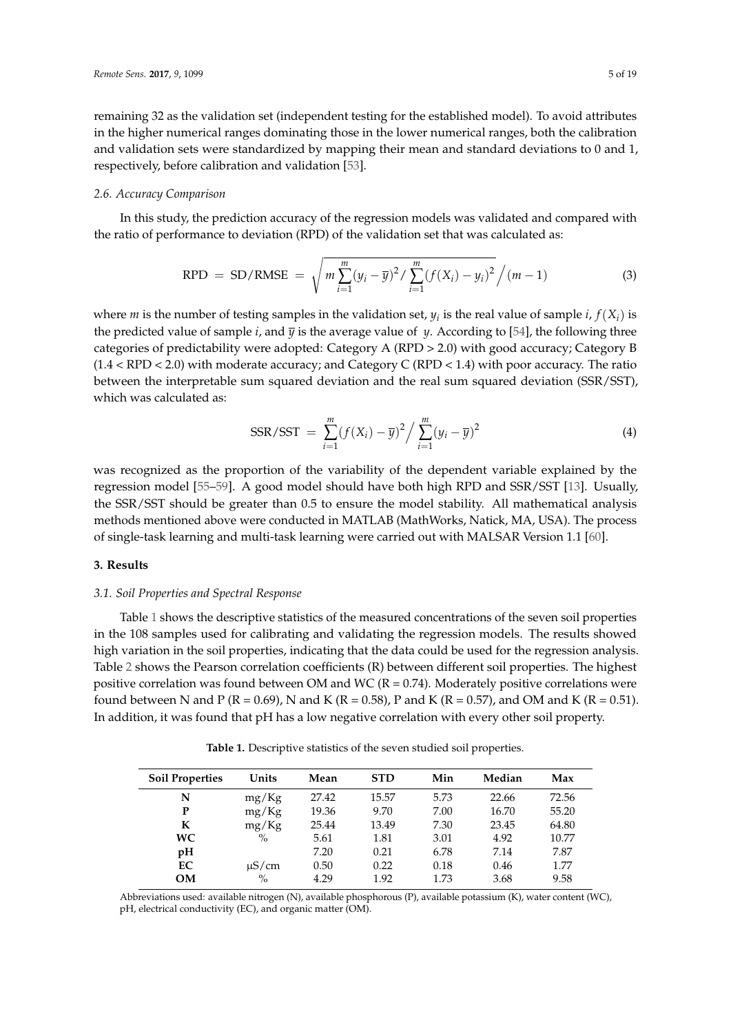remaining 32 as the validation set (independent testing for the established model). To avoid attributes in the higher numerical ranges dominating those in the lower numerical ranges, both the calibration and validation sets were standardized by mapping their mean and standard deviations to 0 and 1, respectively, before calibration and validation [53].

#### *2.6. Accuracy Comparison*

In this study, the prediction accuracy of the regression models was validated and compared with the ratio of performance to deviation (RPD) of the validation set that was calculated as:

$$
RPD = SD/RMSE = \sqrt{m \sum_{i=1}^{m} (y_i - \overline{y})^2 / \sum_{i=1}^{m} (f(X_i) - y_i)^2} / (m - 1)
$$
\n(3)

where *m* is the number of testing samples in the validation set,  $y_i$  is the real value of sample *i*,  $f(X_i)$  is the predicted value of sample *i*, and  $\overline{y}$  is the average value of *y*. According to [54], the following three categories of predictability were adopted: Category A (RPD > 2.0) with good accuracy; Category B (1.4 < RPD < 2.0) with moderate accuracy; and Category C (RPD < 1.4) with poor accuracy. The ratio between the interpretable sum squared deviation and the real sum squared deviation (SSR/SST), which was calculated as:

$$
SSR/ SST = \sum_{i=1}^{m} (f(X_i) - \overline{y})^2 / \sum_{i=1}^{m} (y_i - \overline{y})^2
$$
 (4)

was recognized as the proportion of the variability of the dependent variable explained by the regression model [55–59]. A good model should have both high RPD and SSR/SST [13]. Usually, the SSR/SST should be greater than 0.5 to ensure the model stability. All mathematical analysis methods mentioned above were conducted in MATLAB (MathWorks, Natick, MA, USA). The process of single-task learning and multi-task learning were carried out with MALSAR Version 1.1 [60].

#### **3. Results**

## *3.1. Soil Properties and Spectral Response*

Table 1 shows the descriptive statistics of the measured concentrations of the seven soil properties in the 108 samples used for calibrating and validating the regression models. The results showed high variation in the soil properties, indicating that the data could be used for the regression analysis. Table 2 shows the Pearson correlation coefficients (R) between different soil properties. The highest positive correlation was found between OM and WC ( $R = 0.74$ ). Moderately positive correlations were found between N and P (R = 0.69), N and K (R = 0.58), P and K (R = 0.57), and OM and K (R = 0.51). In addition, it was found that pH has a low negative correlation with every other soil property.

**Table 1.** Descriptive statistics of the seven studied soil properties.

| <b>Soil Properties</b> | Units         | Mean  | <b>STD</b> | Min  | Median | Max   |
|------------------------|---------------|-------|------------|------|--------|-------|
| N                      | mg/Kg         | 27.42 | 15.57      | 5.73 | 22.66  | 72.56 |
| P                      | mg/Kg         | 19.36 | 9.70       | 7.00 | 16.70  | 55.20 |
| К                      | mg/Kg         | 25.44 | 13.49      | 7.30 | 23.45  | 64.80 |
| WC.                    | $\%$          | 5.61  | 1.81       | 3.01 | 4.92   | 10.77 |
| pH                     |               | 7.20  | 0.21       | 6.78 | 7.14   | 7.87  |
| EC.                    | $\mu$ S/cm    | 0.50  | 0.22       | 0.18 | 0.46   | 1.77  |
| OМ                     | $\frac{O}{O}$ | 4.29  | 1.92       | 1.73 | 3.68   | 9.58  |

Abbreviations used: available nitrogen (N), available phosphorous (P), available potassium (K), water content (WC), pH, electrical conductivity (EC), and organic matter (OM).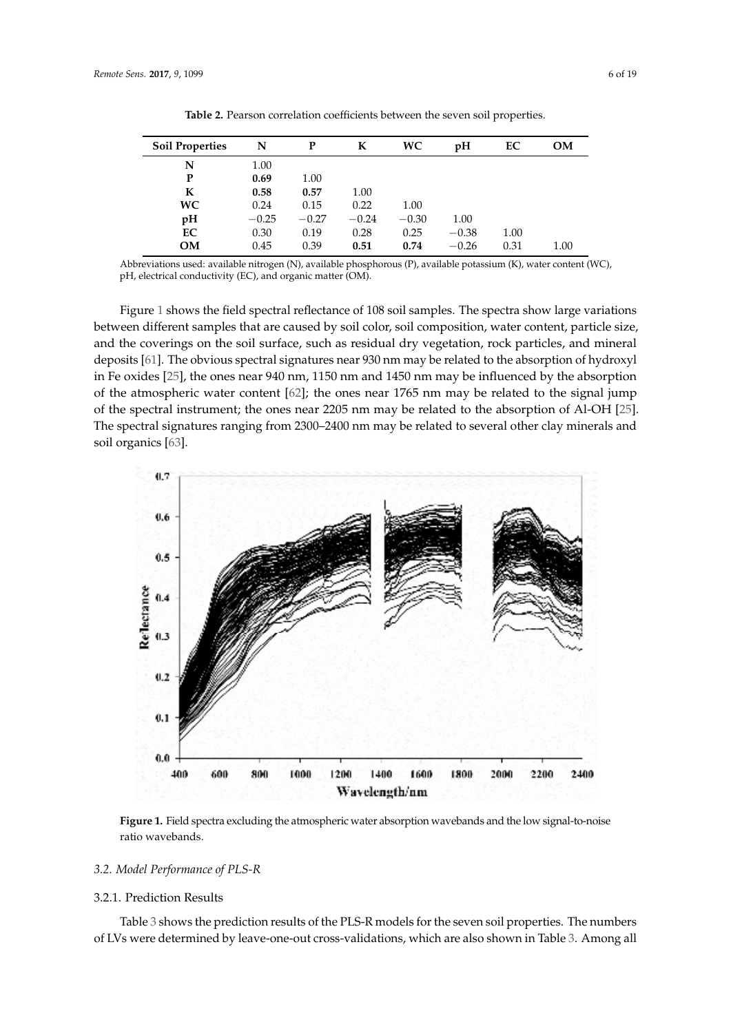| <b>Soil Properties</b> | N       | P       | К       | WC.     | pH      | EC   | OМ   |
|------------------------|---------|---------|---------|---------|---------|------|------|
| N                      | 1.00    |         |         |         |         |      |      |
| P                      | 0.69    | 1.00    |         |         |         |      |      |
| K                      | 0.58    | 0.57    | 1.00    |         |         |      |      |
| <b>WC</b>              | 0.24    | 0.15    | 0.22    | 1.00    |         |      |      |
| pH                     | $-0.25$ | $-0.27$ | $-0.24$ | $-0.30$ | 1.00    |      |      |
| EC                     | 0.30    | 0.19    | 0.28    | 0.25    | $-0.38$ | 1.00 |      |
| <b>OM</b>              | 0.45    | 0.39    | 0.51    | 0.74    | $-0.26$ | 0.31 | 1.00 |

**Table 2.** Pearson correlation coefficients between the seven soil properties.

Abbreviations used: available nitrogen (N), available phosphorous (P), available potassium (K), water content (WC), − pH, electrical conductivity (EC), and organic matter (OM).

Figure 1 shows the field spectral reflectance of 108 soil samples. The spectra show large variations between different samples that are caused by soil color, soil composition, water content, particle size, and the coverings on the soil surface, such as residual dry vegetation, rock particles, and mineral deposits [61]. The obvious spectral signatures near 930 nm may be related to the absorption of hydroxyl in Fe oxides [25], the ones near 940 nm, 1150 nm and 1450 nm may be influenced by the absorption of the atmospheric water content [62]; the ones near 1765 nm may be related to the signal jump of the spectral instrument; the ones near 2205 nm may be related to the absorption of Al-OH [25]. The spectral signatures ranging from 2300–2400 nm may be related to several other clay minerals and soil organics [63].



**Figure 1.** Field spectra excluding the atmospheric water absorption wavebands and the low signal-to-noise ratio wavebands.

#### *3.2. Model Performance of PLS-R*

#### 3.2.1. Prediction Results

Table 3 shows the prediction results of the PLS-R models for the seven soil properties. The numbers of LVs were determined by leave-one-out cross-validations, which are also shown in Table 3. Among all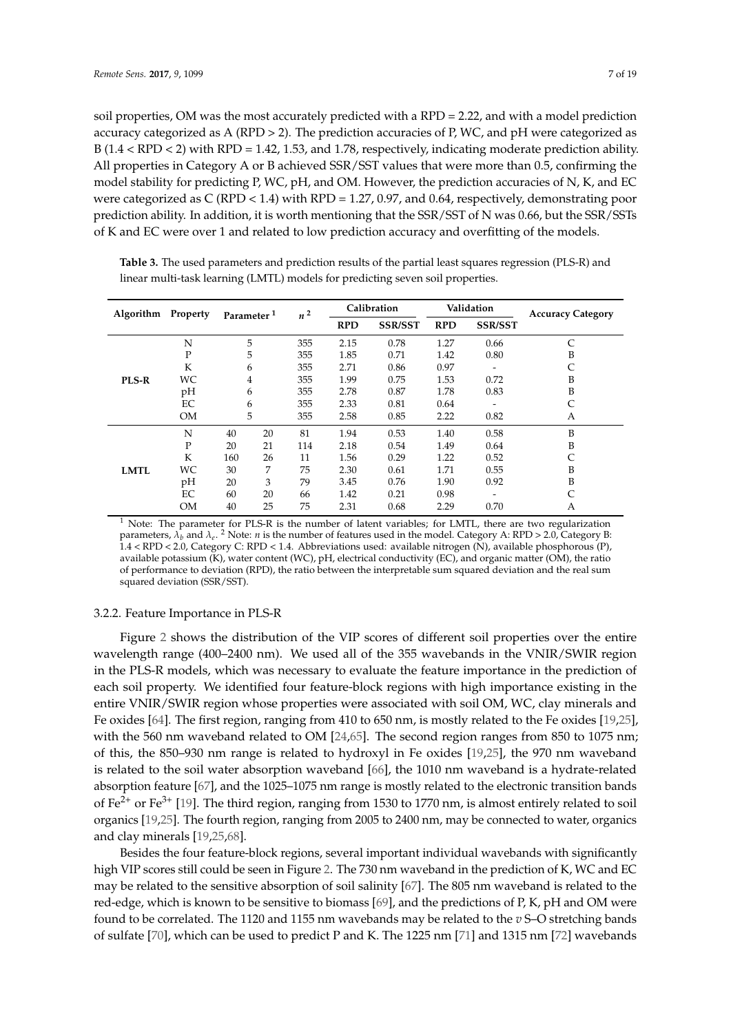soil properties, OM was the most accurately predicted with a RPD = 2.22, and with a model prediction accuracy categorized as A (RPD  $>$  2). The prediction accuracies of P, WC, and pH were categorized as B (1.4 < RPD < 2) with RPD = 1.42, 1.53, and 1.78, respectively, indicating moderate prediction ability. All properties in Category A or B achieved SSR/SST values that were more than 0.5, confirming the model stability for predicting P, WC, pH, and OM. However, the prediction accuracies of N, K, and EC were categorized as C (RPD < 1.4) with RPD = 1.27, 0.97, and 0.64, respectively, demonstrating poor prediction ability. In addition, it is worth mentioning that the SSR/SST of N was 0.66, but the SSR/SSTs of K and EC were over 1 and related to low prediction accuracy and overfitting of the models.

| Algorithm    | Property     | Parameter <sup>1</sup> |    | $n^2$ | Calibration |                | Validation |                          | <b>Accuracy Category</b> |
|--------------|--------------|------------------------|----|-------|-------------|----------------|------------|--------------------------|--------------------------|
|              |              |                        |    |       | <b>RPD</b>  | <b>SSR/SST</b> | <b>RPD</b> | <b>SSR/SST</b>           |                          |
|              | N            | 5                      |    | 355   | 2.15        | 0.78           | 1.27       | 0.66                     | C                        |
| <b>PLS-R</b> | $\mathbf{P}$ | 5                      |    | 355   | 1.85        | 0.71           | 1.42       | 0.80                     | B                        |
|              | K            | 6                      |    | 355   | 2.71        | 0.86           | 0.97       | $\overline{\phantom{a}}$ |                          |
|              | WC           | $\overline{4}$         |    | 355   | 1.99        | 0.75           | 1.53       | 0.72                     | B                        |
|              | pH           | 6                      |    | 355   | 2.78        | 0.87           | 1.78       | 0.83                     | B                        |
|              | EC           | 6                      |    | 355   | 2.33        | 0.81           | 0.64       |                          | C                        |
|              | <b>OM</b>    | 5                      |    | 355   | 2.58        | 0.85           | 2.22       | 0.82                     | A                        |
| <b>LMTL</b>  | N            | 40                     | 20 | 81    | 1.94        | 0.53           | 1.40       | 0.58                     | B                        |
|              | P            | 20                     | 21 | 114   | 2.18        | 0.54           | 1.49       | 0.64                     | B                        |
|              | K            | 160                    | 26 | 11    | 1.56        | 0.29           | 1.22       | 0.52                     | C                        |
|              | WC           | 30                     | 7  | 75    | 2.30        | 0.61           | 1.71       | 0.55                     | B                        |
|              | pH           | 20                     | 3  | 79    | 3.45        | 0.76           | 1.90       | 0.92                     | B                        |
|              | EC           | 60                     | 20 | 66    | 1.42        | 0.21           | 0.98       |                          |                          |
|              | <b>OM</b>    | 40                     | 25 | 75    | 2.31        | 0.68           | 2.29       | 0.70                     | А                        |

Table 3. The used parameters and prediction results of the partial least squares regression (PLS-R) and linear multi-task learning (LMTL) models for predicting seven soil properties.

 $1$  Note: The parameter for PLS-R is the number of latent variables; for LMTL, there are two regularization parameters, *λ<sup>b</sup>* and *λ<sup>e</sup>* . <sup>2</sup> Note: *n* is the number of features used in the model. Category A: RPD > 2.0, Category B: 1.4 < RPD < 2.0, Category C: RPD < 1.4. Abbreviations used: available nitrogen (N), available phosphorous (P), available potassium (K), water content (WC), pH, electrical conductivity (EC), and organic matter (OM), the ratio of performance to deviation (RPD), the ratio between the interpretable sum squared deviation and the real sum squared deviation (SSR/SST).

## 3.2.2. Feature Importance in PLS-R

Figure 2 shows the distribution of the VIP scores of different soil properties over the entire wavelength range (400–2400 nm). We used all of the 355 wavebands in the VNIR/SWIR region in the PLS-R models, which was necessary to evaluate the feature importance in the prediction of each soil property. We identified four feature-block regions with high importance existing in the entire VNIR/SWIR region whose properties were associated with soil OM, WC, clay minerals and Fe oxides [64]. The first region, ranging from 410 to 650 nm, is mostly related to the Fe oxides [19,25], with the 560 nm waveband related to OM [24,65]. The second region ranges from 850 to 1075 nm; of this, the 850–930 nm range is related to hydroxyl in Fe oxides [19,25], the 970 nm waveband is related to the soil water absorption waveband [66], the 1010 nm waveband is a hydrate-related absorption feature [67], and the 1025–1075 nm range is mostly related to the electronic transition bands of  $\text{Fe}^{2+}$  or  $\text{Fe}^{3+}$  [19]. The third region, ranging from 1530 to 1770 nm, is almost entirely related to soil organics [19,25]. The fourth region, ranging from 2005 to 2400 nm, may be connected to water, organics and clay minerals [19,25,68].

Besides the four feature-block regions, several important individual wavebands with significantly high VIP scores still could be seen in Figure 2. The 730 nm waveband in the prediction of K, WC and EC may be related to the sensitive absorption of soil salinity [67]. The 805 nm waveband is related to the red-edge, which is known to be sensitive to biomass [69], and the predictions of P, K, pH and OM were found to be correlated. The 1120 and 1155 nm wavebands may be related to the *v* S–O stretching bands of sulfate [70], which can be used to predict P and K. The 1225 nm [71] and 1315 nm [72] wavebands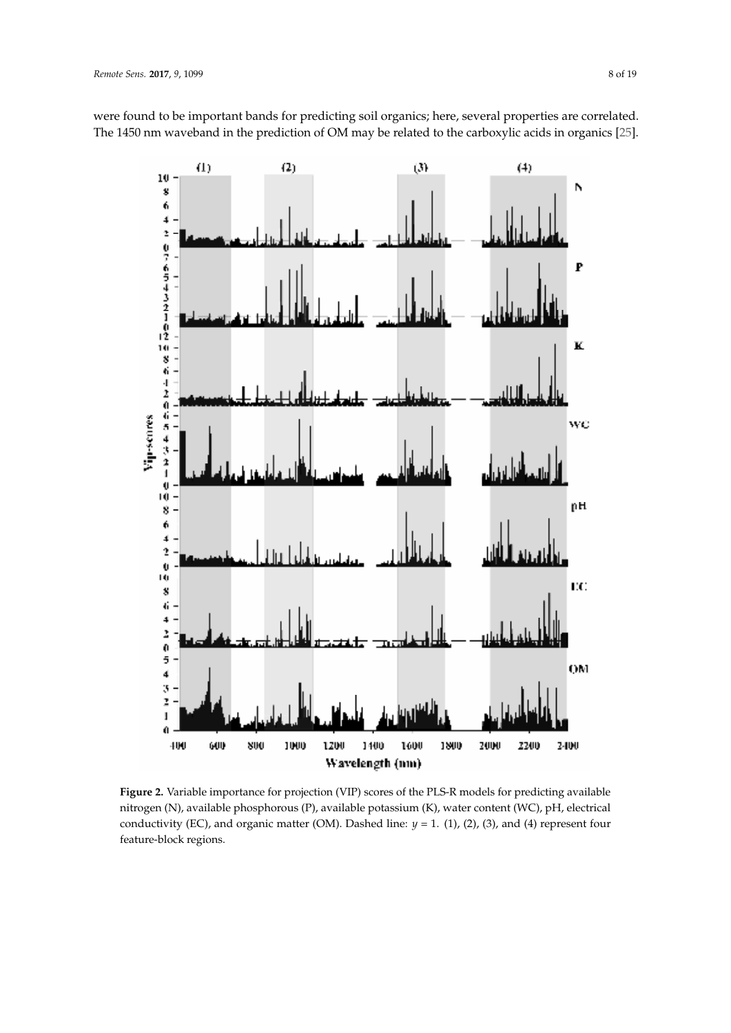

were found to be important bands for predicting soil organics; here, several properties are correlated. The 1450 nm waveband in the prediction of OM may be related to the carboxylic acids in organics [25].

**Figure 2.** Variable importance for projection (VIP) scores of the PLS-R models for predicting available nitrogen (N), available phosphorous (P), available potassium (K), water content (WC), pH, electrical conductivity (EC), and organic matter (OM). Dashed line: *y* = 1. (1), (2), (3), and (4) represent four feature-block regions.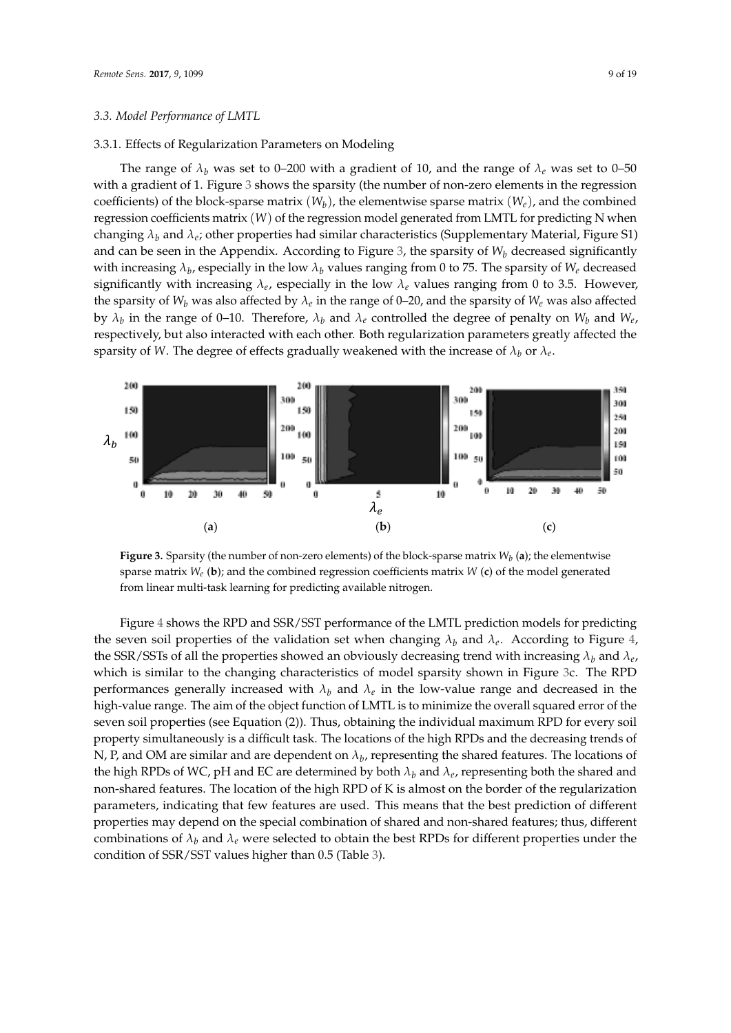#### *3.3. Model Performance of LMTL*

#### 3.3.1. Effects of Regularization Parameters on Modeling

The range of  $\lambda_b$  was set to 0–200 with a gradient of 10, and the range of  $\lambda_e$  was set to 0–50 with a gradient of 1. Figure 3 shows the sparsity (the number of non-zero elements in the regression coefficients) of the block-sparse matrix  $(W_b)$ , the elementwise sparse matrix  $(W_e)$ , and the combined regression coefficients matrix (W) of the regression model generated from LMTL for predicting N when changing  $\lambda_b$  and  $\lambda_e$ ; other properties had similar characteristics (Supplementary Material, Figure S1) and can be seen in the Appendix. According to Figure 3, the sparsity of  $W_b$  decreased significantly with increasing  $\lambda_b$ , especially in the low  $\lambda_b$  values ranging from 0 to 75. The sparsity of  $W_e$  decreased significantly with increasing  $\lambda_e$ , especially in the low  $\lambda_e$  values ranging from 0 to 3.5. However, the sparsity of  $W_b$  was also affected by  $\lambda_e$  in the range of 0–20, and the sparsity of  $W_e$  was also affected by  $\lambda_b$  in the range of 0–10. Therefore,  $\lambda_b$  and  $\lambda_e$  controlled the degree of penalty on  $W_b$  and  $W_e$ , respectively, but also interacted with each other. Both regularization parameters greatly affected the sparsity of *W*. The degree of effects gradually weakened with the increase of  $\lambda_b$  or  $\lambda_e$ .



**Figure 3.** Sparsity (the number of non-zero elements) of the block-sparse matrix  $W_b$  (a); the elementwise sparse matrix  $W_e$  (b); and the combined regression coefficients matrix W (c) of the model generated from linear multi-task learning for predicting available nitrogen.

the seven soil properties of the validation set when changing  $\lambda_b$  and  $\lambda_e$ . According to Figure 4, the SSR/SSTs of all the properties showed an obviously decreasing trend with increasing  $\lambda_b$  and  $\lambda_e$ , performances generally increased with  $\lambda_b$  and  $\lambda_e$  in the low-value range and decreased in the N, P, and OM are similar and are dependent on  $\lambda_b$ , representing the shared features. The locations of the high RPDs of WC, pH and EC are determined by both  $\lambda_b$  and  $\lambda_e$ , representing both the shared and combinations of  $\lambda_b$  and  $\lambda_e$  were selected to obtain the best RPDs for different properties under the Figure 4 shows the RPD and SSR/SST performance of the LMTL prediction models for predicting which is similar to the changing characteristics of model sparsity shown in Figure 3c. The RPD high-value range. The aim of the object function of LMTL is to minimize the overall squared error of the seven soil properties (see Equation (2)). Thus, obtaining the individual maximum RPD for every soil property simultaneously is a difficult task. The locations of the high RPDs and the decreasing trends of non-shared features. The location of the high RPD of K is almost on the border of the regularization parameters, indicating that few features are used. This means that the best prediction of different properties may depend on the special combination of shared and non-shared features; thus, different condition of SSR/SST values higher than 0.5 (Table 3).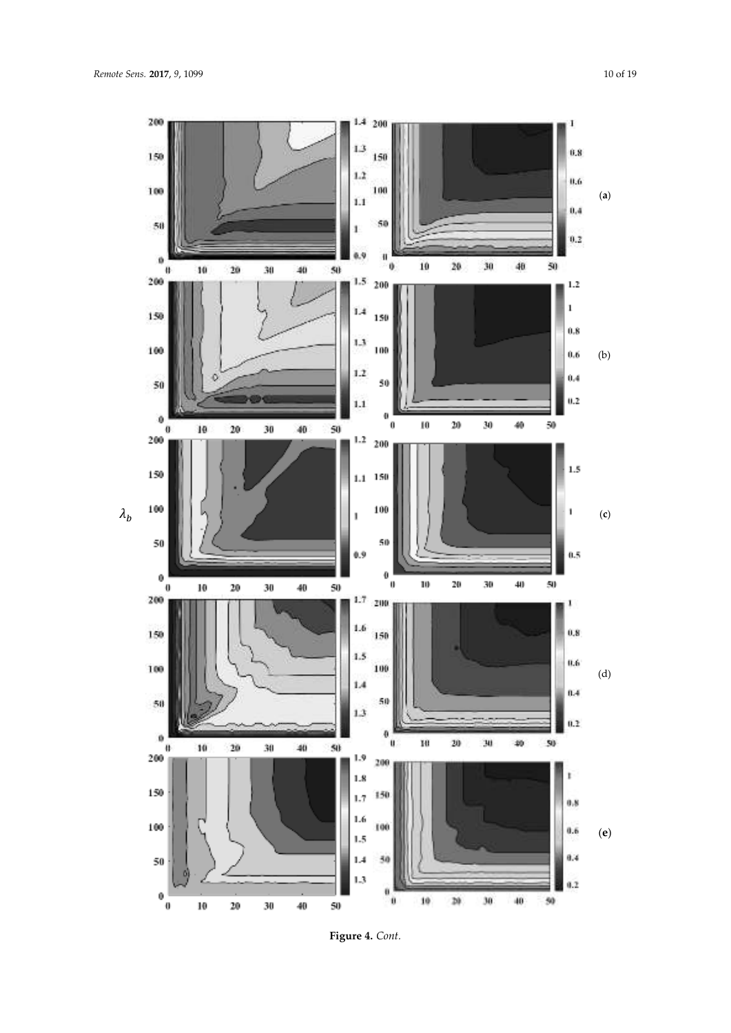

**Figure 4.** *Cont.*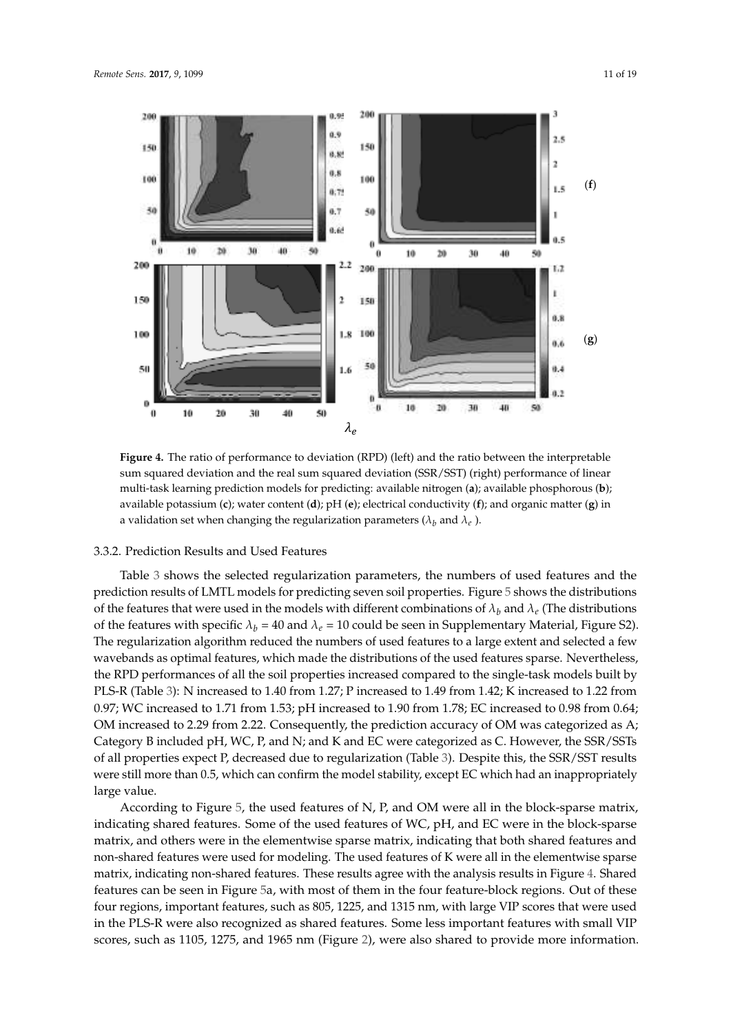

a validation set when changing the regularization parameters ( $\lambda_b$  and  $\lambda_e$ ). **Figure 4.** The ratio of performance to deviation (RPD) (left) and the ratio between the interpretable sum squared deviation and the real sum squared deviation (SSR/SST) (right) performance of linear multi-task learning prediction models for predicting: available nitrogen (**a**); available phosphorous (**b**); available potassium (**c**); water content (**d**); pH (**e**); electrical conductivity (**f**); and organic matter (**g**) in

#### 3.3.2. Prediction Results and Used Features

ߣ ߣ prediction results of LMTL models for predicting seven soil properties. Figure 5 shows the distributions of the features that were used in the models with different combinations of  $\lambda_b$  and  $\lambda_e$  (The distributions Table 3 shows the selected regularization parameters, the numbers of used features and the of the features with specific  $\lambda_b = 40$  and  $\lambda_e = 10$  could be seen in Supplementary Material, Figure S2). The regularization algorithm reduced the numbers of used features to a large extent and selected a few wavebands as optimal features, which made the distributions of the used features sparse. Nevertheless, the RPD performances of all the soil properties increased compared to the single-task models built by PLS-R (Table 3): N increased to 1.40 from 1.27; P increased to 1.49 from 1.42; K increased to 1.22 from 0.97; WC increased to 1.71 from 1.53; pH increased to 1.90 from 1.78; EC increased to 0.98 from 0.64; OM increased to 2.29 from 2.22. Consequently, the prediction accuracy of OM was categorized as A; Category B included pH, WC, P, and N; and K and EC were categorized as C. However, the SSR/SSTs of all properties expect P, decreased due to regularization (Table 3). Despite this, the SSR/SST results were still more than 0.5, which can confirm the model stability, except EC which had an inappropriately large value.

According to Figure 5, the used features of N, P, and OM were all in the block-sparse matrix, indicating shared features. Some of the used features of WC, pH, and EC were in the block-sparse matrix, and others were in the elementwise sparse matrix, indicating that both shared features and non-shared features were used for modeling. The used features of K were all in the elementwise sparse matrix, indicating non-shared features. These results agree with the analysis results in Figure 4. Shared features can be seen in Figure 5a, with most of them in the four feature-block regions. Out of these four regions, important features, such as 805, 1225, and 1315 nm, with large VIP scores that were used in the PLS-R were also recognized as shared features. Some less important features with small VIP scores, such as 1105, 1275, and 1965 nm (Figure 2), were also shared to provide more information.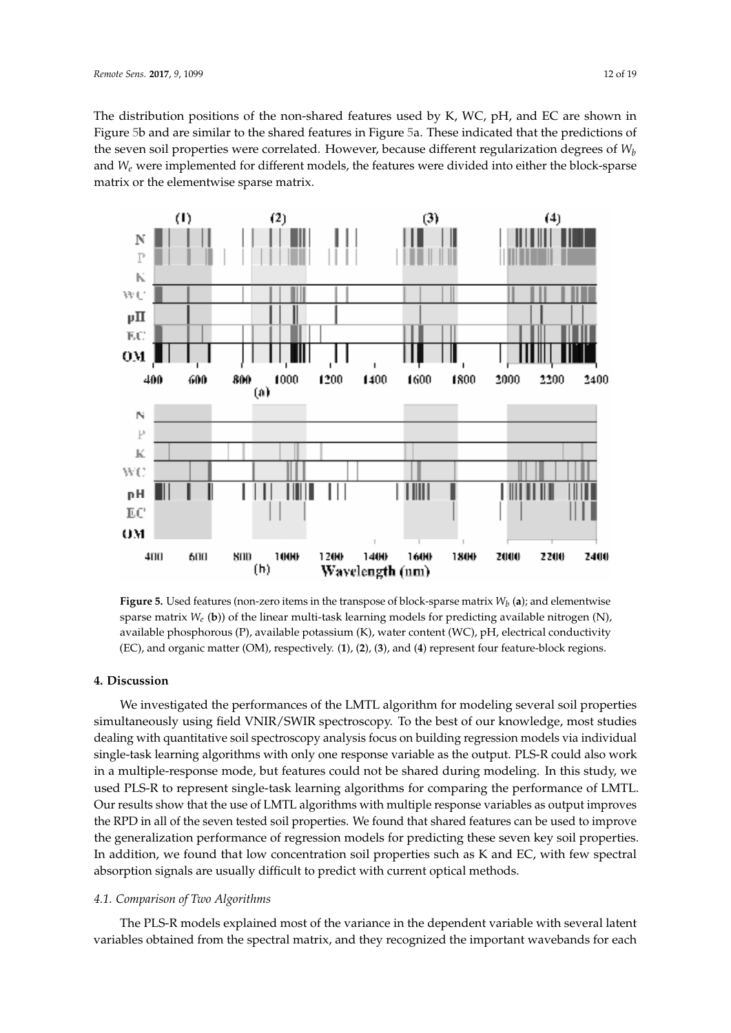The distribution positions of the non-shared features used by K, WC, pH, and EC are shown in Figure 5b and are similar to the shared features in Figure 5a. These indicated that the predictions of the seven soil properties were correlated. However, because different regularization degrees of *W<sup>b</sup>* and  $W_e$  were implemented for different models, the features were divided into either the block-sparse<br>see this called almost size on see matrix matrix or the elementwise sparse matrix.



**Figure 5.** Used features (non-zero items in the transpose of block-sparse matrix  $W_b$  (a); and elementwise sparse matrix *W<sub>e</sub>* (b)) of the linear multi-task learning models for predicting available nitrogen (N), available phosphorous (P), available potassium (K), water content (WC), pH, electrical conductivity (EC), and organic matter (OM), respectively. (**1**), (**2**), (**3**), and (**4**) represent four feature-block regions.

## **4. Discussion**

We investigated the performances of the LMTL algorithm for modeling several soil properties simultaneously using field VNIR/SWIR spectroscopy. To the best of our knowledge, most studies dealing with quantitative soil spectroscopy analysis focus on building regression models via individual single-task learning algorithms with only one response variable as the output. PLS-R could also work in a multiple-response mode, but features could not be shared during modeling. In this study, we used PLS-R to represent single-task learning algorithms for comparing the performance of LMTL. Our results show that the use of LMTL algorithms with multiple response variables as output improves the RPD in all of the seven tested soil properties. We found that shared features can be used to improve the generalization performance of regression models for predicting these seven key soil properties. In addition, we found that low concentration soil properties such as K and EC, with few spectral absorption signals are usually difficult to predict with current optical methods.

## *4.1. Comparison of Two Algorithms*

The PLS-R models explained most of the variance in the dependent variable with several latent variables obtained from the spectral matrix, and they recognized the important wavebands for each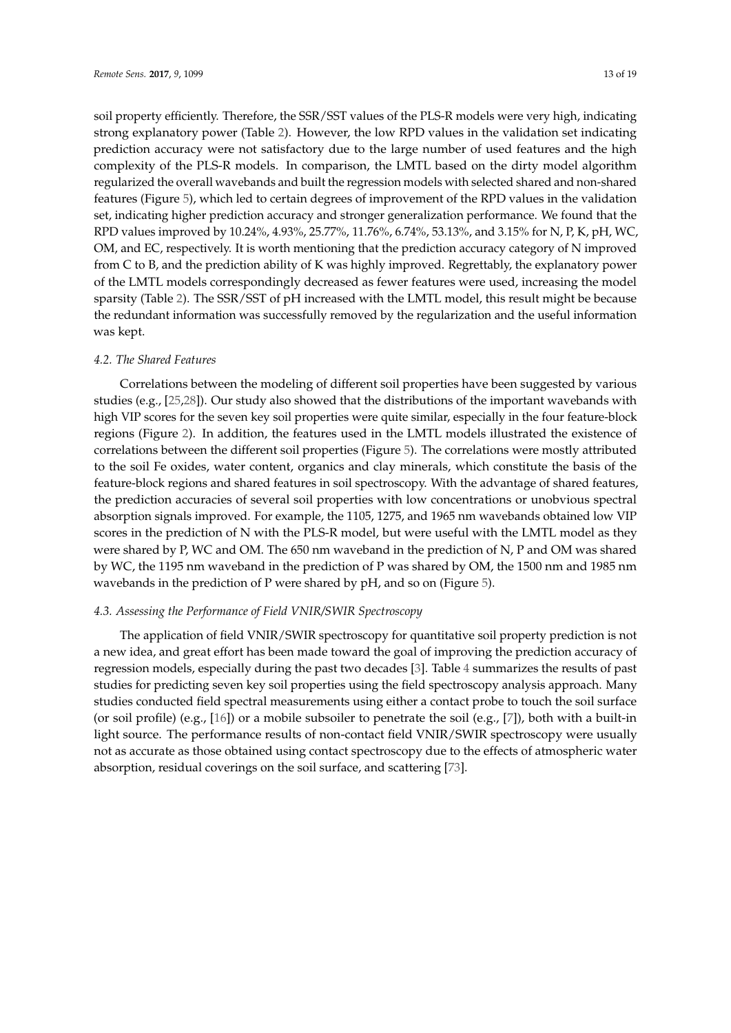soil property efficiently. Therefore, the SSR/SST values of the PLS-R models were very high, indicating strong explanatory power (Table 2). However, the low RPD values in the validation set indicating prediction accuracy were not satisfactory due to the large number of used features and the high complexity of the PLS-R models. In comparison, the LMTL based on the dirty model algorithm regularized the overall wavebands and built the regression models with selected shared and non-shared features (Figure 5), which led to certain degrees of improvement of the RPD values in the validation set, indicating higher prediction accuracy and stronger generalization performance. We found that the RPD values improved by 10.24%, 4.93%, 25.77%, 11.76%, 6.74%, 53.13%, and 3.15% for N, P, K, pH, WC, OM, and EC, respectively. It is worth mentioning that the prediction accuracy category of N improved from C to B, and the prediction ability of K was highly improved. Regrettably, the explanatory power of the LMTL models correspondingly decreased as fewer features were used, increasing the model sparsity (Table 2). The SSR/SST of pH increased with the LMTL model, this result might be because the redundant information was successfully removed by the regularization and the useful information was kept.

#### *4.2. The Shared Features*

Correlations between the modeling of different soil properties have been suggested by various studies (e.g., [25,28]). Our study also showed that the distributions of the important wavebands with high VIP scores for the seven key soil properties were quite similar, especially in the four feature-block regions (Figure 2). In addition, the features used in the LMTL models illustrated the existence of correlations between the different soil properties (Figure 5). The correlations were mostly attributed to the soil Fe oxides, water content, organics and clay minerals, which constitute the basis of the feature-block regions and shared features in soil spectroscopy. With the advantage of shared features, the prediction accuracies of several soil properties with low concentrations or unobvious spectral absorption signals improved. For example, the 1105, 1275, and 1965 nm wavebands obtained low VIP scores in the prediction of N with the PLS-R model, but were useful with the LMTL model as they were shared by P, WC and OM. The 650 nm waveband in the prediction of N, P and OM was shared by WC, the 1195 nm waveband in the prediction of P was shared by OM, the 1500 nm and 1985 nm wavebands in the prediction of P were shared by pH, and so on (Figure 5).

# *4.3. Assessing the Performance of Field VNIR/SWIR Spectroscopy*

The application of field VNIR/SWIR spectroscopy for quantitative soil property prediction is not a new idea, and great effort has been made toward the goal of improving the prediction accuracy of regression models, especially during the past two decades [3]. Table 4 summarizes the results of past studies for predicting seven key soil properties using the field spectroscopy analysis approach. Many studies conducted field spectral measurements using either a contact probe to touch the soil surface (or soil profile) (e.g., [16]) or a mobile subsoiler to penetrate the soil (e.g., [7]), both with a built-in light source. The performance results of non-contact field VNIR/SWIR spectroscopy were usually not as accurate as those obtained using contact spectroscopy due to the effects of atmospheric water absorption, residual coverings on the soil surface, and scattering [73].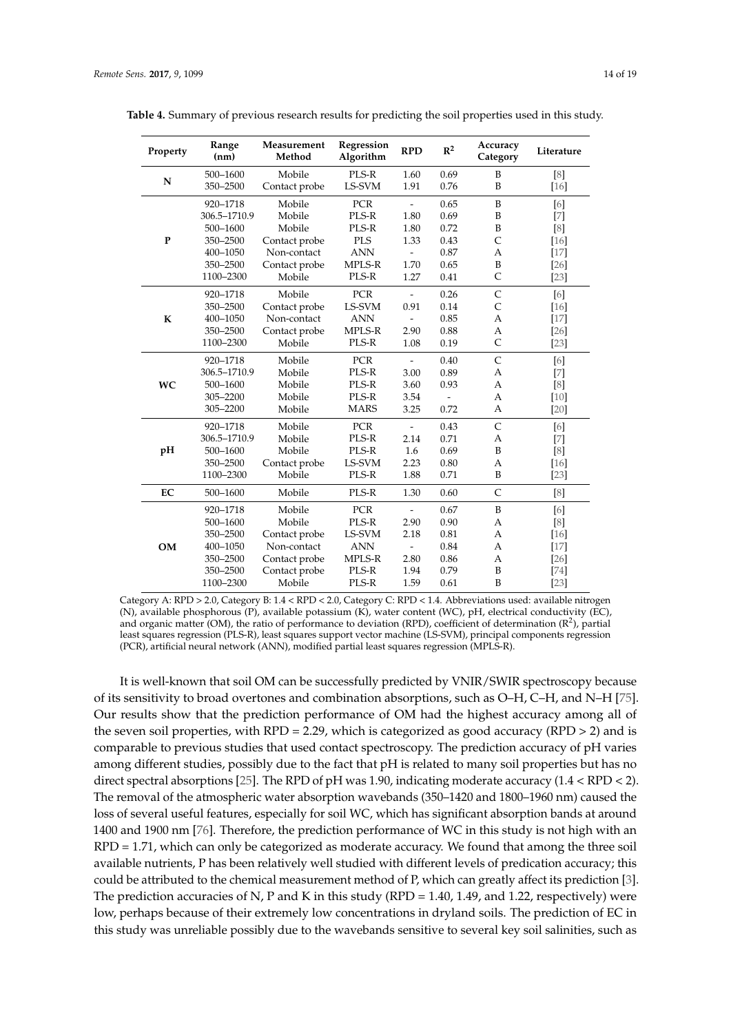| Property    | Range<br>(nm) | Measurement<br>Method | Regression<br>Algorithm | <b>RPD</b>               | $R^2$ | Accuracy<br>Category | Literature                                                                                                                                                                                                                                            |
|-------------|---------------|-----------------------|-------------------------|--------------------------|-------|----------------------|-------------------------------------------------------------------------------------------------------------------------------------------------------------------------------------------------------------------------------------------------------|
|             | 500-1600      | Mobile                | PLS-R                   | 1.60                     | 0.69  | B                    | [8]                                                                                                                                                                                                                                                   |
| N           | 350-2500      | Contact probe         | LS-SVM                  | 1.91                     | 0.76  | B                    | $[16]$                                                                                                                                                                                                                                                |
|             | 920-1718      | Mobile                | PCR                     | $\overline{\phantom{a}}$ | 0.65  | B                    | [6]                                                                                                                                                                                                                                                   |
|             | 306.5-1710.9  | Mobile                | PLS-R                   | 1.80                     | 0.69  | B                    | $[7] \centering% \includegraphics[width=1\textwidth]{images/TransY.pdf} \caption{The 3D (top) and the 4D (bottom) of the 3D (bottom) of the 3D (bottom) of the 3D (bottom) of the 3D (bottom) of the 3D (bottom) of the 3D (bottom).} \label{fig:3D}$ |
|             | 500-1600      | Mobile                | PLS-R                   | 1.80                     | 0.72  | B                    | [8]                                                                                                                                                                                                                                                   |
| $\mathbf P$ | 350-2500      | Contact probe         | <b>PLS</b>              | 1.33                     | 0.43  | $\mathsf{C}$         | $[16]$                                                                                                                                                                                                                                                |
|             | 400-1050      | Non-contact           | <b>ANN</b>              | $\overline{a}$           | 0.87  | A                    | $[17]$                                                                                                                                                                                                                                                |
|             | 350-2500      | Contact probe         | MPLS-R                  | 1.70                     | 0.65  | B                    | $[26]$                                                                                                                                                                                                                                                |
|             | 1100-2300     | Mobile                | PLS-R                   | 1.27                     | 0.41  | $\mathsf{C}$         | $[23]$                                                                                                                                                                                                                                                |
|             | 920-1718      | Mobile                | PCR                     | $\overline{a}$           | 0.26  | $\mathsf{C}$         | [6]                                                                                                                                                                                                                                                   |
|             | 350-2500      | Contact probe         | LS-SVM                  | 0.91                     | 0.14  | $\mathsf{C}$         | $[16]$                                                                                                                                                                                                                                                |
| K           | 400-1050      | Non-contact           | <b>ANN</b>              |                          | 0.85  | A                    | $[17]$                                                                                                                                                                                                                                                |
|             | 350-2500      | Contact probe         | MPLS-R                  | 2.90                     | 0.88  | A                    | $[26]$                                                                                                                                                                                                                                                |
|             | 1100-2300     | Mobile                | PLS-R                   | 1.08                     | 0.19  | $\mathsf{C}$         | $[23]$                                                                                                                                                                                                                                                |
|             | 920-1718      | Mobile                | PCR                     | $\overline{\phantom{a}}$ | 0.40  | $\mathsf C$          | [6]                                                                                                                                                                                                                                                   |
|             | 306.5-1710.9  | Mobile                | PLS-R                   | 3.00                     | 0.89  | $\overline{A}$       | $[7]$                                                                                                                                                                                                                                                 |
| <b>WC</b>   | 500-1600      | Mobile                | PLS-R                   | 3.60                     | 0.93  | A                    | [8]                                                                                                                                                                                                                                                   |
|             | 305-2200      | Mobile                | PLS-R                   | 3.54                     |       | $\overline{A}$       | $[10]$                                                                                                                                                                                                                                                |
|             | 305-2200      | Mobile                | <b>MARS</b>             | 3.25                     | 0.72  | $\overline{A}$       | $[20]$                                                                                                                                                                                                                                                |
|             | 920-1718      | Mobile                | PCR                     | $\frac{1}{2}$            | 0.43  | $\mathsf{C}$         | [6]                                                                                                                                                                                                                                                   |
|             | 306.5-1710.9  | Mobile                | PLS-R                   | 2.14                     | 0.71  | A                    | $[7] \centering% \includegraphics[width=1\textwidth]{images/TransY.pdf} \caption{The 3D (top) and the 4D (bottom) of the 3D (bottom) of the 3D (bottom) of the 3D (bottom) of the 3D (bottom) of the 3D (bottom) of the 3D (bottom).} \label{fig:3D}$ |
| pH          | 500-1600      | Mobile                | PLS-R                   | 1.6                      | 0.69  | B                    | [8]                                                                                                                                                                                                                                                   |
|             | 350-2500      | Contact probe         | LS-SVM                  | 2.23                     | 0.80  | A                    | $[16]$                                                                                                                                                                                                                                                |
|             | 1100-2300     | Mobile                | PLS-R                   | 1.88                     | 0.71  | B                    | $[23]$                                                                                                                                                                                                                                                |
| EC          | 500-1600      | Mobile                | PLS-R                   | 1.30                     | 0.60  | $\mathsf{C}$         | [8]                                                                                                                                                                                                                                                   |
|             | 920-1718      | Mobile                | <b>PCR</b>              | $\overline{\phantom{0}}$ | 0.67  | B                    | [6]                                                                                                                                                                                                                                                   |
| <b>OM</b>   | 500-1600      | Mobile                | PLS-R                   | 2.90                     | 0.90  | A                    | [8]                                                                                                                                                                                                                                                   |
|             | 350-2500      | Contact probe         | LS-SVM                  | 2.18                     | 0.81  | A                    | $[16]$                                                                                                                                                                                                                                                |
|             | 400-1050      | Non-contact           | <b>ANN</b>              | $\frac{1}{2}$            | 0.84  | $\overline{A}$       | $[17]$                                                                                                                                                                                                                                                |
|             | 350-2500      | Contact probe         | MPLS-R                  | 2.80                     | 0.86  | A                    | $[26]$                                                                                                                                                                                                                                                |
|             | 350-2500      | Contact probe         | PLS-R                   | 1.94                     | 0.79  | B                    | $[74]$                                                                                                                                                                                                                                                |
|             | 1100-2300     | Mobile                | PLS-R                   | 1.59                     | 0.61  | B                    | $[23]$                                                                                                                                                                                                                                                |

**Table 4.** Summary of previous research results for predicting the soil properties used in this study.

Category A: RPD > 2.0, Category B: 1.4 < RPD < 2.0, Category C: RPD < 1.4. Abbreviations used: available nitrogen (N), available phosphorous (P), available potassium (K), water content (WC), pH, electrical conductivity (EC), and organic matter (OM), the ratio of performance to deviation (RPD), coefficient of determination ( $\mathbb{R}^2$ ), partial least squares regression (PLS-R), least squares support vector machine (LS-SVM), principal components regression (PCR), artificial neural network (ANN), modified partial least squares regression (MPLS-R).

It is well-known that soil OM can be successfully predicted by VNIR/SWIR spectroscopy because of its sensitivity to broad overtones and combination absorptions, such as O–H, C–H, and N–H [75]. Our results show that the prediction performance of OM had the highest accuracy among all of the seven soil properties, with RPD = 2.29, which is categorized as good accuracy (RPD > 2) and is comparable to previous studies that used contact spectroscopy. The prediction accuracy of pH varies among different studies, possibly due to the fact that pH is related to many soil properties but has no direct spectral absorptions [25]. The RPD of pH was 1.90, indicating moderate accuracy (1.4 < RPD < 2). The removal of the atmospheric water absorption wavebands (350–1420 and 1800–1960 nm) caused the loss of several useful features, especially for soil WC, which has significant absorption bands at around 1400 and 1900 nm [76]. Therefore, the prediction performance of WC in this study is not high with an RPD = 1.71, which can only be categorized as moderate accuracy. We found that among the three soil available nutrients, P has been relatively well studied with different levels of predication accuracy; this could be attributed to the chemical measurement method of P, which can greatly affect its prediction [3]. The prediction accuracies of N, P and K in this study (RPD = 1.40, 1.49, and 1.22, respectively) were low, perhaps because of their extremely low concentrations in dryland soils. The prediction of EC in this study was unreliable possibly due to the wavebands sensitive to several key soil salinities, such as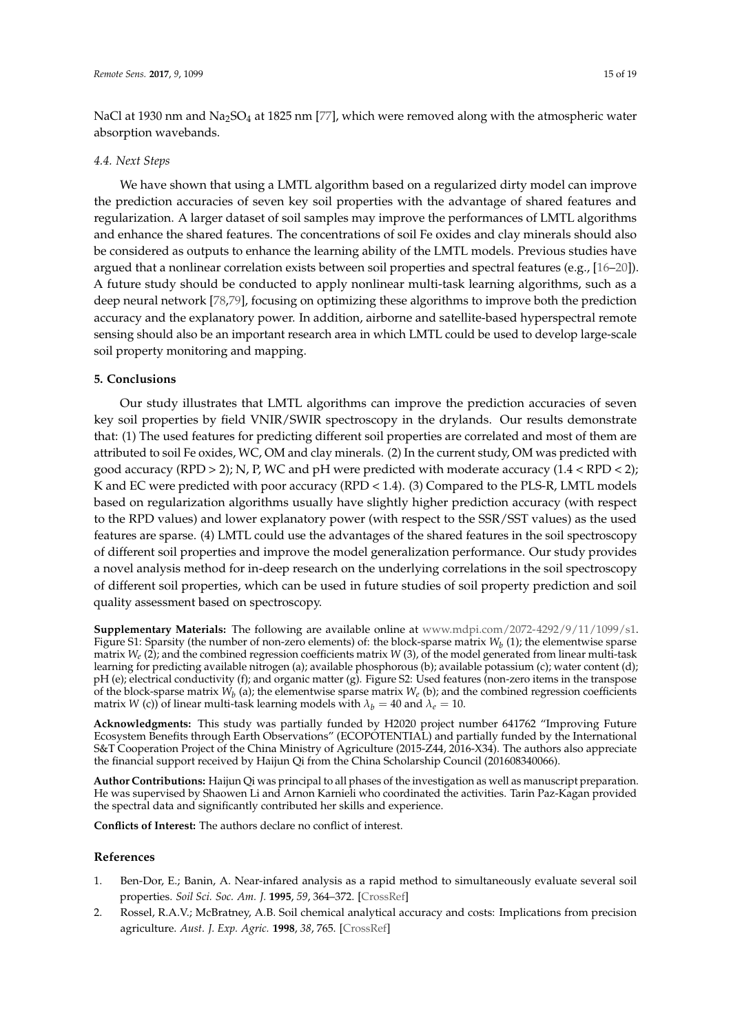NaCl at 1930 nm and Na<sub>2</sub>SO<sub>4</sub> at 1825 nm [77], which were removed along with the atmospheric water absorption wavebands.

#### *4.4. Next Steps*

We have shown that using a LMTL algorithm based on a regularized dirty model can improve the prediction accuracies of seven key soil properties with the advantage of shared features and regularization. A larger dataset of soil samples may improve the performances of LMTL algorithms and enhance the shared features. The concentrations of soil Fe oxides and clay minerals should also be considered as outputs to enhance the learning ability of the LMTL models. Previous studies have argued that a nonlinear correlation exists between soil properties and spectral features (e.g., [16–20]). A future study should be conducted to apply nonlinear multi-task learning algorithms, such as a deep neural network [78,79], focusing on optimizing these algorithms to improve both the prediction accuracy and the explanatory power. In addition, airborne and satellite-based hyperspectral remote sensing should also be an important research area in which LMTL could be used to develop large-scale soil property monitoring and mapping.

## **5. Conclusions**

Our study illustrates that LMTL algorithms can improve the prediction accuracies of seven key soil properties by field VNIR/SWIR spectroscopy in the drylands. Our results demonstrate that: (1) The used features for predicting different soil properties are correlated and most of them are attributed to soil Fe oxides, WC, OM and clay minerals. (2) In the current study, OM was predicted with good accuracy (RPD > 2); N, P, WC and pH were predicted with moderate accuracy (1.4 < RPD < 2); K and EC were predicted with poor accuracy (RPD < 1.4). (3) Compared to the PLS-R, LMTL models based on regularization algorithms usually have slightly higher prediction accuracy (with respect to the RPD values) and lower explanatory power (with respect to the SSR/SST values) as the used features are sparse. (4) LMTL could use the advantages of the shared features in the soil spectroscopy of different soil properties and improve the model generalization performance. Our study provides a novel analysis method for in-deep research on the underlying correlations in the soil spectroscopy of different soil properties, which can be used in future studies of soil property prediction and soil quality assessment based on spectroscopy.

**Supplementary Materials:** The following are available online at www.mdpi.com/2072-4292/9/11/1099/s1. Figure S1: Sparsity (the number of non-zero elements) of: the block-sparse matrix  $W_b$  (1); the elementwise sparse matrix *W<sup>e</sup>* (2); and the combined regression coefficients matrix *W* (3), of the model generated from linear multi-task learning for predicting available nitrogen (a); available phosphorous (b); available potassium (c); water content (d); pH (e); electrical conductivity (f); and organic matter (g). Figure S2: Used features (non-zero items in the transpose of the block-sparse matrix  $W_b$  (a); the elementwise sparse matrix  $W_e$  (b); and the combined regression coefficients matrix *W* (c)) of linear multi-task learning models with  $\lambda_b = 40$  and  $\lambda_e = 10$ .

**Acknowledgments:** This study was partially funded by H2020 project number 641762 "Improving Future Ecosystem Benefits through Earth Observations" (ECOPOTENTIAL) and partially funded by the International S&T Cooperation Project of the China Ministry of Agriculture (2015-Z44, 2016-X34). The authors also appreciate the financial support received by Haijun Qi from the China Scholarship Council (201608340066).

**Author Contributions:** Haijun Qi was principal to all phases of the investigation as well as manuscript preparation. He was supervised by Shaowen Li and Arnon Karnieli who coordinated the activities. Tarin Paz-Kagan provided the spectral data and significantly contributed her skills and experience.

**Conflicts of Interest:** The authors declare no conflict of interest.

#### **References**

- 1. Ben-Dor, E.; Banin, A. Near-infared analysis as a rapid method to simultaneously evaluate several soil properties. *Soil Sci. Soc. Am. J.* **1995**, *59*, 364–372. [CrossRef]
- 2. Rossel, R.A.V.; McBratney, A.B. Soil chemical analytical accuracy and costs: Implications from precision agriculture. *Aust. J. Exp. Agric.* **1998**, *38*, 765. [CrossRef]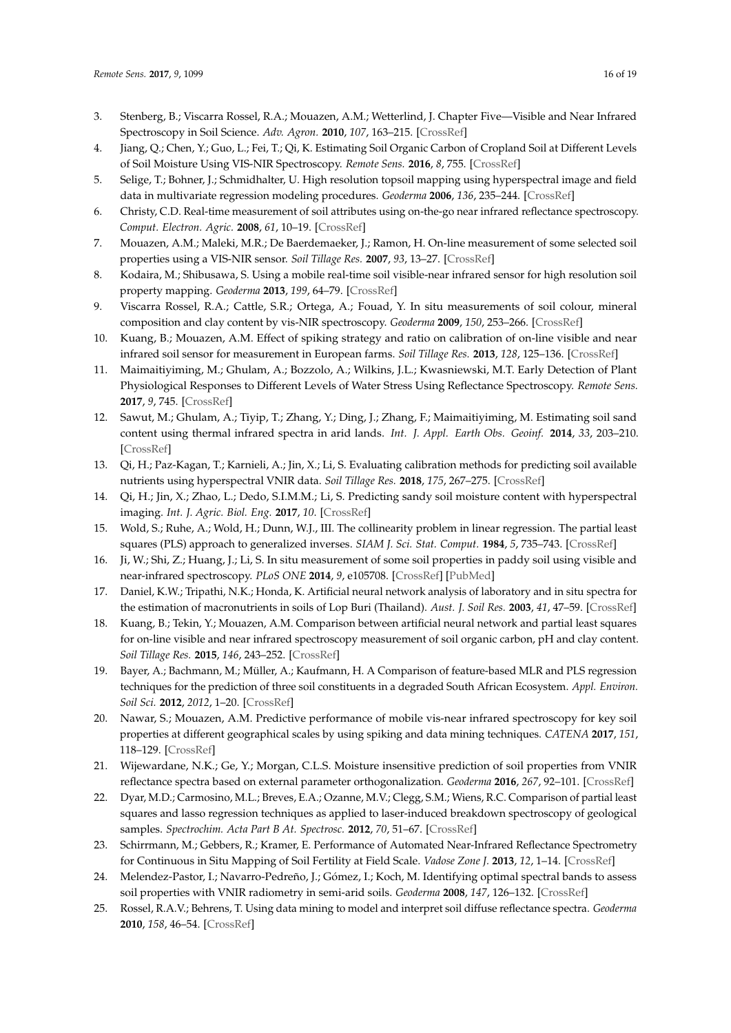- 3. Stenberg, B.; Viscarra Rossel, R.A.; Mouazen, A.M.; Wetterlind, J. Chapter Five—Visible and Near Infrared Spectroscopy in Soil Science. *Adv. Agron.* **2010**, *107*, 163–215. [CrossRef]
- 4. Jiang, Q.; Chen, Y.; Guo, L.; Fei, T.; Qi, K. Estimating Soil Organic Carbon of Cropland Soil at Different Levels of Soil Moisture Using VIS-NIR Spectroscopy. *Remote Sens.* **2016**, *8*, 755. [CrossRef]
- 5. Selige, T.; Bohner, J.; Schmidhalter, U. High resolution topsoil mapping using hyperspectral image and field data in multivariate regression modeling procedures. *Geoderma* **2006**, *136*, 235–244. [CrossRef]
- 6. Christy, C.D. Real-time measurement of soil attributes using on-the-go near infrared reflectance spectroscopy. *Comput. Electron. Agric.* **2008**, *61*, 10–19. [CrossRef]
- 7. Mouazen, A.M.; Maleki, M.R.; De Baerdemaeker, J.; Ramon, H. On-line measurement of some selected soil properties using a VIS-NIR sensor. *Soil Tillage Res.* **2007**, *93*, 13–27. [CrossRef]
- 8. Kodaira, M.; Shibusawa, S. Using a mobile real-time soil visible-near infrared sensor for high resolution soil property mapping. *Geoderma* **2013**, *199*, 64–79. [CrossRef]
- 9. Viscarra Rossel, R.A.; Cattle, S.R.; Ortega, A.; Fouad, Y. In situ measurements of soil colour, mineral composition and clay content by vis-NIR spectroscopy. *Geoderma* **2009**, *150*, 253–266. [CrossRef]
- 10. Kuang, B.; Mouazen, A.M. Effect of spiking strategy and ratio on calibration of on-line visible and near infrared soil sensor for measurement in European farms. *Soil Tillage Res.* **2013**, *128*, 125–136. [CrossRef]
- 11. Maimaitiyiming, M.; Ghulam, A.; Bozzolo, A.; Wilkins, J.L.; Kwasniewski, M.T. Early Detection of Plant Physiological Responses to Different Levels of Water Stress Using Reflectance Spectroscopy. *Remote Sens.* **2017**, *9*, 745. [CrossRef]
- 12. Sawut, M.; Ghulam, A.; Tiyip, T.; Zhang, Y.; Ding, J.; Zhang, F.; Maimaitiyiming, M. Estimating soil sand content using thermal infrared spectra in arid lands. *Int. J. Appl. Earth Obs. Geoinf.* **2014**, *33*, 203–210. [CrossRef]
- 13. Qi, H.; Paz-Kagan, T.; Karnieli, A.; Jin, X.; Li, S. Evaluating calibration methods for predicting soil available nutrients using hyperspectral VNIR data. *Soil Tillage Res.* **2018**, *175*, 267–275. [CrossRef]
- 14. Qi, H.; Jin, X.; Zhao, L.; Dedo, S.I.M.M.; Li, S. Predicting sandy soil moisture content with hyperspectral imaging. *Int. J. Agric. Biol. Eng.* **2017**, *10*. [CrossRef]
- 15. Wold, S.; Ruhe, A.; Wold, H.; Dunn, W.J., III. The collinearity problem in linear regression. The partial least squares (PLS) approach to generalized inverses. *SIAM J. Sci. Stat. Comput.* **1984**, *5*, 735–743. [CrossRef]
- 16. Ji, W.; Shi, Z.; Huang, J.; Li, S. In situ measurement of some soil properties in paddy soil using visible and near-infrared spectroscopy. *PLoS ONE* **2014**, *9*, e105708. [CrossRef] [PubMed]
- 17. Daniel, K.W.; Tripathi, N.K.; Honda, K. Artificial neural network analysis of laboratory and in situ spectra for the estimation of macronutrients in soils of Lop Buri (Thailand). *Aust. J. Soil Res.* **2003**, *41*, 47–59. [CrossRef]
- 18. Kuang, B.; Tekin, Y.; Mouazen, A.M. Comparison between artificial neural network and partial least squares for on-line visible and near infrared spectroscopy measurement of soil organic carbon, pH and clay content. *Soil Tillage Res.* **2015**, *146*, 243–252. [CrossRef]
- 19. Bayer, A.; Bachmann, M.; Müller, A.; Kaufmann, H. A Comparison of feature-based MLR and PLS regression techniques for the prediction of three soil constituents in a degraded South African Ecosystem. *Appl. Environ. Soil Sci.* **2012**, *2012*, 1–20. [CrossRef]
- 20. Nawar, S.; Mouazen, A.M. Predictive performance of mobile vis-near infrared spectroscopy for key soil properties at different geographical scales by using spiking and data mining techniques. *CATENA* **2017**, *151*, 118–129. [CrossRef]
- 21. Wijewardane, N.K.; Ge, Y.; Morgan, C.L.S. Moisture insensitive prediction of soil properties from VNIR reflectance spectra based on external parameter orthogonalization. *Geoderma* **2016**, *267*, 92–101. [CrossRef]
- 22. Dyar, M.D.; Carmosino, M.L.; Breves, E.A.; Ozanne, M.V.; Clegg, S.M.; Wiens, R.C. Comparison of partial least squares and lasso regression techniques as applied to laser-induced breakdown spectroscopy of geological samples. *Spectrochim. Acta Part B At. Spectrosc.* **2012**, *70*, 51–67. [CrossRef]
- 23. Schirrmann, M.; Gebbers, R.; Kramer, E. Performance of Automated Near-Infrared Reflectance Spectrometry for Continuous in Situ Mapping of Soil Fertility at Field Scale. *Vadose Zone J.* **2013**, *12*, 1–14. [CrossRef]
- 24. Melendez-Pastor, I.; Navarro-Pedreño, J.; Gómez, I.; Koch, M. Identifying optimal spectral bands to assess soil properties with VNIR radiometry in semi-arid soils. *Geoderma* **2008**, *147*, 126–132. [CrossRef]
- 25. Rossel, R.A.V.; Behrens, T. Using data mining to model and interpret soil diffuse reflectance spectra. *Geoderma* **2010**, *158*, 46–54. [CrossRef]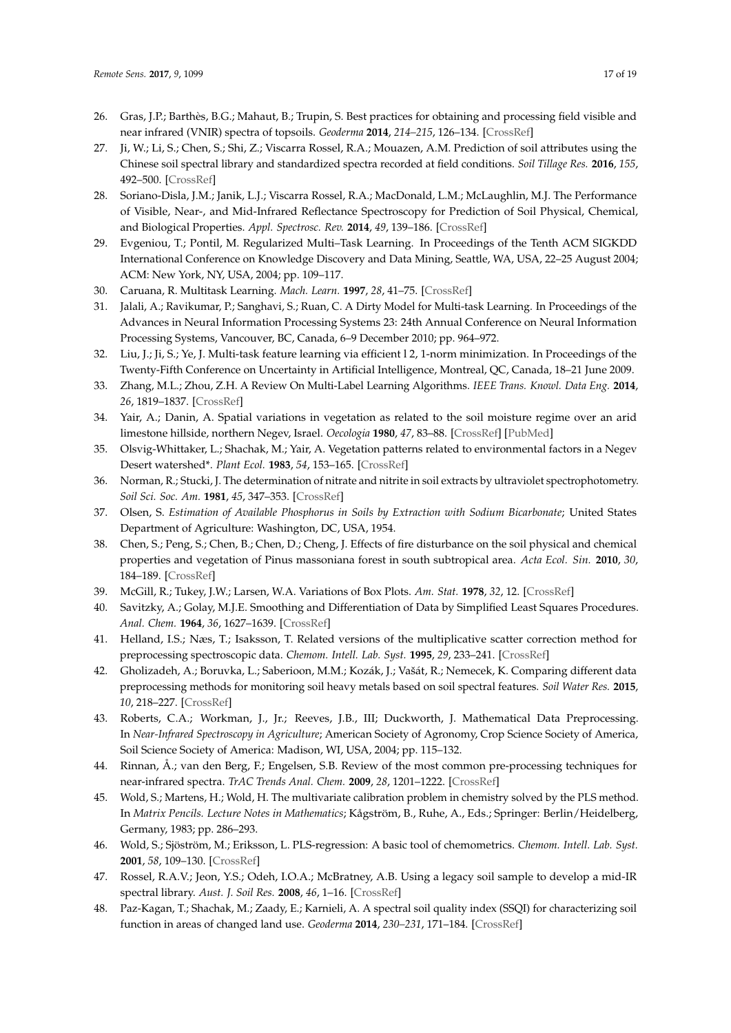- 26. Gras, J.P.; Barthès, B.G.; Mahaut, B.; Trupin, S. Best practices for obtaining and processing field visible and near infrared (VNIR) spectra of topsoils. *Geoderma* **2014**, *214–215*, 126–134. [CrossRef]
- 27. Ji, W.; Li, S.; Chen, S.; Shi, Z.; Viscarra Rossel, R.A.; Mouazen, A.M. Prediction of soil attributes using the Chinese soil spectral library and standardized spectra recorded at field conditions. *Soil Tillage Res.* **2016**, *155*, 492–500. [CrossRef]
- 28. Soriano-Disla, J.M.; Janik, L.J.; Viscarra Rossel, R.A.; MacDonald, L.M.; McLaughlin, M.J. The Performance of Visible, Near-, and Mid-Infrared Reflectance Spectroscopy for Prediction of Soil Physical, Chemical, and Biological Properties. *Appl. Spectrosc. Rev.* **2014**, *49*, 139–186. [CrossRef]
- 29. Evgeniou, T.; Pontil, M. Regularized Multi–Task Learning. In Proceedings of the Tenth ACM SIGKDD International Conference on Knowledge Discovery and Data Mining, Seattle, WA, USA, 22–25 August 2004; ACM: New York, NY, USA, 2004; pp. 109–117.
- 30. Caruana, R. Multitask Learning. *Mach. Learn.* **1997**, *28*, 41–75. [CrossRef]
- 31. Jalali, A.; Ravikumar, P.; Sanghavi, S.; Ruan, C. A Dirty Model for Multi-task Learning. In Proceedings of the Advances in Neural Information Processing Systems 23: 24th Annual Conference on Neural Information Processing Systems, Vancouver, BC, Canada, 6–9 December 2010; pp. 964–972.
- 32. Liu, J.; Ji, S.; Ye, J. Multi-task feature learning via efficient l 2, 1-norm minimization. In Proceedings of the Twenty-Fifth Conference on Uncertainty in Artificial Intelligence, Montreal, QC, Canada, 18–21 June 2009.
- 33. Zhang, M.L.; Zhou, Z.H. A Review On Multi-Label Learning Algorithms. *IEEE Trans. Knowl. Data Eng.* **2014**, *26*, 1819–1837. [CrossRef]
- 34. Yair, A.; Danin, A. Spatial variations in vegetation as related to the soil moisture regime over an arid limestone hillside, northern Negev, Israel. *Oecologia* **1980**, *47*, 83–88. [CrossRef] [PubMed]
- 35. Olsvig-Whittaker, L.; Shachak, M.; Yair, A. Vegetation patterns related to environmental factors in a Negev Desert watershed\*. *Plant Ecol.* **1983**, *54*, 153–165. [CrossRef]
- 36. Norman, R.; Stucki, J. The determination of nitrate and nitrite in soil extracts by ultraviolet spectrophotometry. *Soil Sci. Soc. Am.* **1981**, *45*, 347–353. [CrossRef]
- 37. Olsen, S. *Estimation of Available Phosphorus in Soils by Extraction with Sodium Bicarbonate*; United States Department of Agriculture: Washington, DC, USA, 1954.
- 38. Chen, S.; Peng, S.; Chen, B.; Chen, D.; Cheng, J. Effects of fire disturbance on the soil physical and chemical properties and vegetation of Pinus massoniana forest in south subtropical area. *Acta Ecol. Sin.* **2010**, *30*, 184–189. [CrossRef]
- 39. McGill, R.; Tukey, J.W.; Larsen, W.A. Variations of Box Plots. *Am. Stat.* **1978**, *32*, 12. [CrossRef]
- 40. Savitzky, A.; Golay, M.J.E. Smoothing and Differentiation of Data by Simplified Least Squares Procedures. *Anal. Chem.* **1964**, *36*, 1627–1639. [CrossRef]
- 41. Helland, I.S.; Næs, T.; Isaksson, T. Related versions of the multiplicative scatter correction method for preprocessing spectroscopic data. *Chemom. Intell. Lab. Syst.* **1995**, *29*, 233–241. [CrossRef]
- 42. Gholizadeh, A.; Boruvka, L.; Saberioon, M.M.; Kozák, J.; Vašát, R.; Nemecek, K. Comparing different data preprocessing methods for monitoring soil heavy metals based on soil spectral features. *Soil Water Res.* **2015**, *10*, 218–227. [CrossRef]
- 43. Roberts, C.A.; Workman, J., Jr.; Reeves, J.B., III; Duckworth, J. Mathematical Data Preprocessing. In *Near-Infrared Spectroscopy in Agriculture*; American Society of Agronomy, Crop Science Society of America, Soil Science Society of America: Madison, WI, USA, 2004; pp. 115–132.
- 44. Rinnan, Å.; van den Berg, F.; Engelsen, S.B. Review of the most common pre-processing techniques for near-infrared spectra. *TrAC Trends Anal. Chem.* **2009**, *28*, 1201–1222. [CrossRef]
- 45. Wold, S.; Martens, H.; Wold, H. The multivariate calibration problem in chemistry solved by the PLS method. In *Matrix Pencils. Lecture Notes in Mathematics*; Kågström, B., Ruhe, A., Eds.; Springer: Berlin/Heidelberg, Germany, 1983; pp. 286–293.
- 46. Wold, S.; Sjöström, M.; Eriksson, L. PLS-regression: A basic tool of chemometrics. *Chemom. Intell. Lab. Syst.* **2001**, *58*, 109–130. [CrossRef]
- 47. Rossel, R.A.V.; Jeon, Y.S.; Odeh, I.O.A.; McBratney, A.B. Using a legacy soil sample to develop a mid-IR spectral library. *Aust. J. Soil Res.* **2008**, *46*, 1–16. [CrossRef]
- 48. Paz-Kagan, T.; Shachak, M.; Zaady, E.; Karnieli, A. A spectral soil quality index (SSQI) for characterizing soil function in areas of changed land use. *Geoderma* **2014**, *230–231*, 171–184. [CrossRef]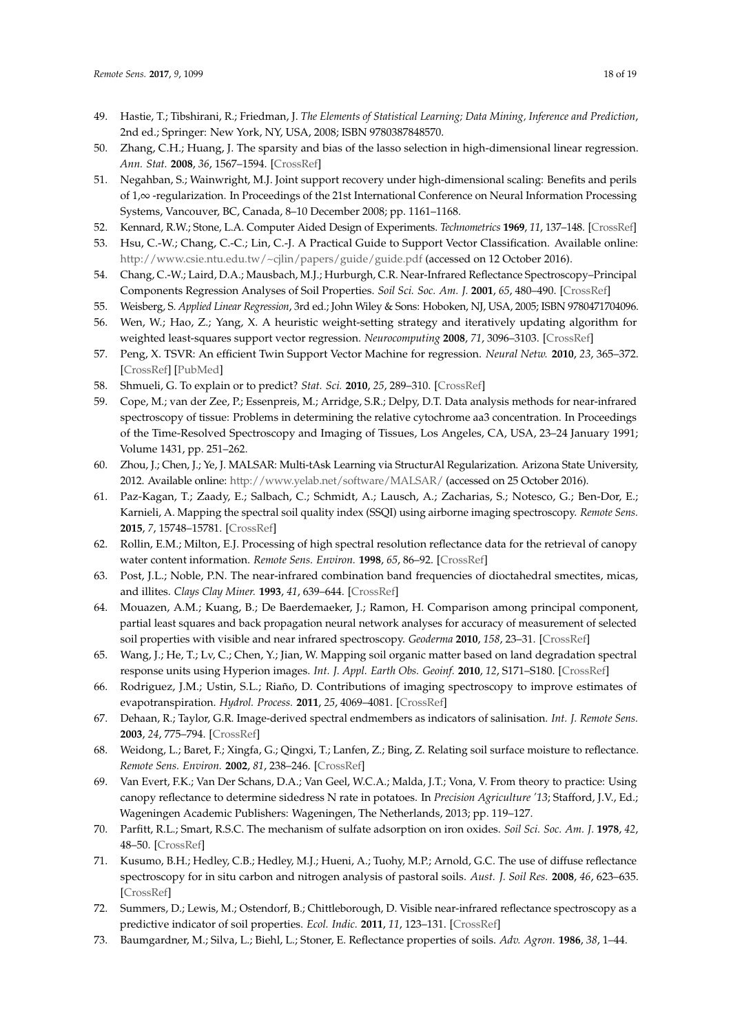- 49. Hastie, T.; Tibshirani, R.; Friedman, J. *The Elements of Statistical Learning; Data Mining, Inference and Prediction*, 2nd ed.; Springer: New York, NY, USA, 2008; ISBN 9780387848570.
- 50. Zhang, C.H.; Huang, J. The sparsity and bias of the lasso selection in high-dimensional linear regression. *Ann. Stat.* **2008**, *36*, 1567–1594. [CrossRef]
- 51. Negahban, S.; Wainwright, M.J. Joint support recovery under high-dimensional scaling: Benefits and perils of 1,∞ -regularization. In Proceedings of the 21st International Conference on Neural Information Processing Systems, Vancouver, BC, Canada, 8–10 December 2008; pp. 1161–1168.
- 52. Kennard, R.W.; Stone, L.A. Computer Aided Design of Experiments. *Technometrics* **1969**, *11*, 137–148. [CrossRef]
- 53. Hsu, C.-W.; Chang, C.-C.; Lin, C.-J. A Practical Guide to Support Vector Classification. Available online: http://www.csie.ntu.edu.tw/~cjlin/papers/guide/guide.pdf (accessed on 12 October 2016).
- 54. Chang, C.-W.; Laird, D.A.; Mausbach, M.J.; Hurburgh, C.R. Near-Infrared Reflectance Spectroscopy–Principal Components Regression Analyses of Soil Properties. *Soil Sci. Soc. Am. J.* **2001**, *65*, 480–490. [CrossRef]
- 55. Weisberg, S. *Applied Linear Regression*, 3rd ed.; John Wiley & Sons: Hoboken, NJ, USA, 2005; ISBN 9780471704096.
- 56. Wen, W.; Hao, Z.; Yang, X. A heuristic weight-setting strategy and iteratively updating algorithm for weighted least-squares support vector regression. *Neurocomputing* **2008**, *71*, 3096–3103. [CrossRef]
- 57. Peng, X. TSVR: An efficient Twin Support Vector Machine for regression. *Neural Netw.* **2010**, *23*, 365–372. [CrossRef] [PubMed]
- 58. Shmueli, G. To explain or to predict? *Stat. Sci.* **2010**, *25*, 289–310. [CrossRef]
- 59. Cope, M.; van der Zee, P.; Essenpreis, M.; Arridge, S.R.; Delpy, D.T. Data analysis methods for near-infrared spectroscopy of tissue: Problems in determining the relative cytochrome aa3 concentration. In Proceedings of the Time-Resolved Spectroscopy and Imaging of Tissues, Los Angeles, CA, USA, 23–24 January 1991; Volume 1431, pp. 251–262.
- 60. Zhou, J.; Chen, J.; Ye, J. MALSAR: Multi-tAsk Learning via StructurAl Regularization. Arizona State University, 2012. Available online: http://www.yelab.net/software/MALSAR/ (accessed on 25 October 2016).
- 61. Paz-Kagan, T.; Zaady, E.; Salbach, C.; Schmidt, A.; Lausch, A.; Zacharias, S.; Notesco, G.; Ben-Dor, E.; Karnieli, A. Mapping the spectral soil quality index (SSQI) using airborne imaging spectroscopy. *Remote Sens.* **2015**, *7*, 15748–15781. [CrossRef]
- 62. Rollin, E.M.; Milton, E.J. Processing of high spectral resolution reflectance data for the retrieval of canopy water content information. *Remote Sens. Environ.* **1998**, *65*, 86–92. [CrossRef]
- 63. Post, J.L.; Noble, P.N. The near-infrared combination band frequencies of dioctahedral smectites, micas, and illites. *Clays Clay Miner.* **1993**, *41*, 639–644. [CrossRef]
- 64. Mouazen, A.M.; Kuang, B.; De Baerdemaeker, J.; Ramon, H. Comparison among principal component, partial least squares and back propagation neural network analyses for accuracy of measurement of selected soil properties with visible and near infrared spectroscopy. *Geoderma* **2010**, *158*, 23–31. [CrossRef]
- 65. Wang, J.; He, T.; Lv, C.; Chen, Y.; Jian, W. Mapping soil organic matter based on land degradation spectral response units using Hyperion images. *Int. J. Appl. Earth Obs. Geoinf.* **2010**, *12*, S171–S180. [CrossRef]
- 66. Rodriguez, J.M.; Ustin, S.L.; Riaño, D. Contributions of imaging spectroscopy to improve estimates of evapotranspiration. *Hydrol. Process.* **2011**, *25*, 4069–4081. [CrossRef]
- 67. Dehaan, R.; Taylor, G.R. Image-derived spectral endmembers as indicators of salinisation. *Int. J. Remote Sens.* **2003**, *24*, 775–794. [CrossRef]
- 68. Weidong, L.; Baret, F.; Xingfa, G.; Qingxi, T.; Lanfen, Z.; Bing, Z. Relating soil surface moisture to reflectance. *Remote Sens. Environ.* **2002**, *81*, 238–246. [CrossRef]
- 69. Van Evert, F.K.; Van Der Schans, D.A.; Van Geel, W.C.A.; Malda, J.T.; Vona, V. From theory to practice: Using canopy reflectance to determine sidedress N rate in potatoes. In *Precision Agriculture '13*; Stafford, J.V., Ed.; Wageningen Academic Publishers: Wageningen, The Netherlands, 2013; pp. 119–127.
- 70. Parfitt, R.L.; Smart, R.S.C. The mechanism of sulfate adsorption on iron oxides. *Soil Sci. Soc. Am. J.* **1978**, *42*, 48–50. [CrossRef]
- 71. Kusumo, B.H.; Hedley, C.B.; Hedley, M.J.; Hueni, A.; Tuohy, M.P.; Arnold, G.C. The use of diffuse reflectance spectroscopy for in situ carbon and nitrogen analysis of pastoral soils. *Aust. J. Soil Res.* **2008**, *46*, 623–635. [CrossRef]
- 72. Summers, D.; Lewis, M.; Ostendorf, B.; Chittleborough, D. Visible near-infrared reflectance spectroscopy as a predictive indicator of soil properties. *Ecol. Indic.* **2011**, *11*, 123–131. [CrossRef]
- 73. Baumgardner, M.; Silva, L.; Biehl, L.; Stoner, E. Reflectance properties of soils. *Adv. Agron.* **1986**, *38*, 1–44.